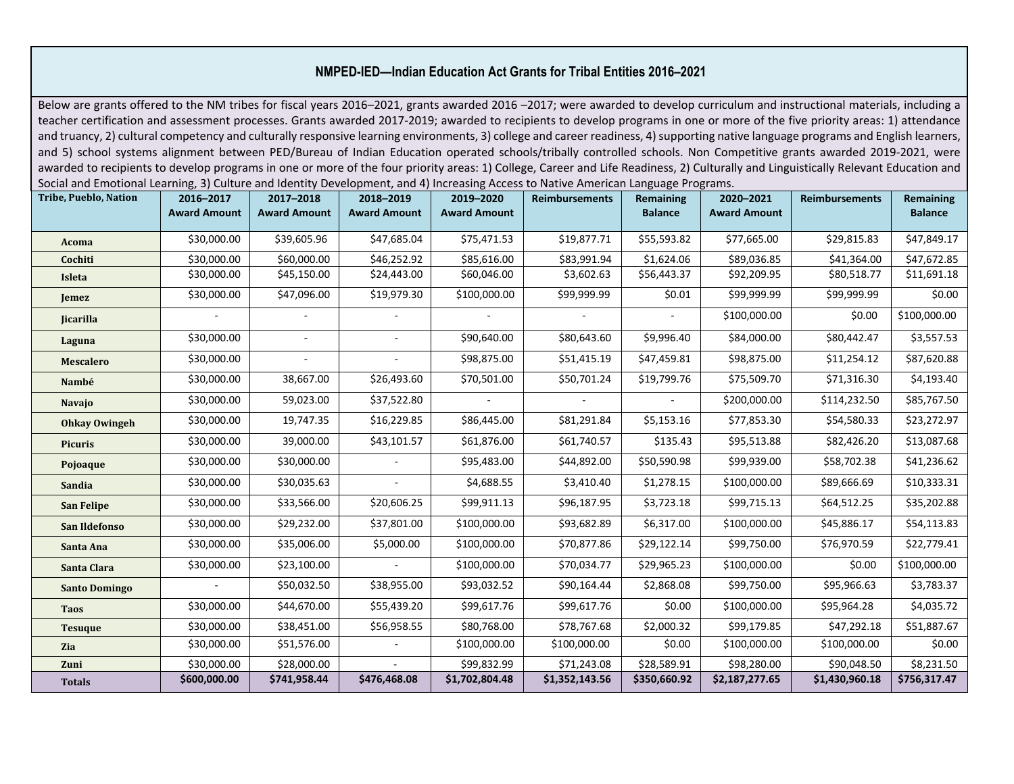## **NMPED-IED—Indian Education Act Grants for Tribal Entities 2016–2021**

Below are grants offered to the NM tribes for fiscal years 2016–2021, grants awarded 2016–2017; were awarded to develop curriculum and instructional materials, including a teacher certification and assessment processes. Grants awarded 2017-2019; awarded to recipients to develop programs in one or more of the five priority areas: 1) attendance and truancy, 2) cultural competency and culturally responsive learning environments, 3) college and career readiness, 4) supporting native language programs and English learners, and 5) school systems alignment between PED/Bureau of Indian Education operated schools/tribally controlled schools. Non Competitive grants awarded 2019-2021, were awarded to recipients to develop programs in one or more of the four priority areas: 1) College, Career and Life Readiness, 2) Culturally and Linguistically Relevant Education and Social and Emotional Learning, 3) Culture and Identity Development, and 4) Increasing Access to Native American Language Programs.

| <b>Tribe, Pueblo, Nation</b> | 2016-2017           | 2017-2018           | 2018-2019           | 2019-2020           | <b>Reimbursements</b> | Remaining      | 2020-2021           | <b>Reimbursements</b> | Remaining      |
|------------------------------|---------------------|---------------------|---------------------|---------------------|-----------------------|----------------|---------------------|-----------------------|----------------|
|                              | <b>Award Amount</b> | <b>Award Amount</b> | <b>Award Amount</b> | <b>Award Amount</b> |                       | <b>Balance</b> | <b>Award Amount</b> |                       | <b>Balance</b> |
| Acoma                        | \$30,000.00         | \$39,605.96         | \$47,685.04         | \$75,471.53         | \$19,877.71           | \$55,593.82    | \$77,665.00         | \$29,815.83           | \$47,849.17    |
| Cochiti                      | \$30,000.00         | \$60,000.00         | \$46,252.92         | \$85,616.00         | \$83,991.94           | \$1,624.06     | \$89,036.85         | \$41,364.00           | \$47,672.85    |
| Isleta                       | \$30,000.00         | \$45,150.00         | \$24,443.00         | \$60,046.00         | \$3,602.63            | \$56,443.37    | \$92,209.95         | \$80,518.77           | \$11,691.18    |
| Jemez                        | \$30,000.00         | \$47,096.00         | \$19,979.30         | \$100,000.00        | \$99,999.99           | \$0.01         | \$99,999.99         | \$99,999.99           | \$0.00         |
| <b>Jicarilla</b>             |                     |                     | ٠                   |                     |                       |                | \$100,000.00        | \$0.00                | \$100,000.00   |
| Laguna                       | \$30,000.00         |                     | ä,                  | \$90,640.00         | \$80,643.60           | \$9,996.40     | \$84,000.00         | \$80,442.47           | \$3,557.53     |
| <b>Mescalero</b>             | \$30,000.00         |                     |                     | \$98,875.00         | \$51,415.19           | \$47,459.81    | \$98,875.00         | \$11,254.12           | \$87,620.88    |
| Nambé                        | \$30,000.00         | 38,667.00           | \$26,493.60         | \$70,501.00         | \$50,701.24           | \$19,799.76    | \$75,509.70         | \$71,316.30           | \$4,193.40     |
| <b>Navajo</b>                | \$30,000.00         | 59,023.00           | \$37,522.80         |                     |                       |                | \$200,000.00        | \$114,232.50          | \$85,767.50    |
| <b>Ohkay Owingeh</b>         | \$30,000.00         | 19,747.35           | \$16,229.85         | \$86,445.00         | \$81,291.84           | \$5,153.16     | \$77,853.30         | \$54,580.33           | \$23,272.97    |
| <b>Picuris</b>               | \$30,000.00         | 39,000.00           | \$43,101.57         | \$61,876.00         | \$61,740.57           | \$135.43       | \$95,513.88         | \$82,426.20           | \$13,087.68    |
| Pojoaque                     | \$30,000.00         | \$30,000.00         |                     | \$95,483.00         | \$44,892.00           | \$50,590.98    | \$99,939.00         | \$58,702.38           | \$41,236.62    |
| <b>Sandia</b>                | \$30,000.00         | \$30,035.63         |                     | \$4,688.55          | \$3,410.40            | \$1,278.15     | \$100,000.00        | \$89,666.69           | \$10,333.31    |
| San Felipe                   | \$30,000.00         | \$33,566.00         | \$20,606.25         | \$99,911.13         | \$96,187.95           | \$3,723.18     | \$99,715.13         | \$64,512.25           | \$35,202.88    |
| San Ildefonso                | \$30,000.00         | \$29,232.00         | \$37,801.00         | \$100,000.00        | \$93,682.89           | \$6,317.00     | \$100,000.00        | \$45,886.17           | \$54,113.83    |
| Santa Ana                    | \$30,000.00         | \$35,006.00         | \$5,000.00          | \$100,000.00        | \$70,877.86           | \$29,122.14    | \$99,750.00         | \$76,970.59           | \$22,779.41    |
| Santa Clara                  | \$30,000.00         | \$23,100.00         | $\omega$            | \$100,000.00        | \$70,034.77           | \$29,965.23    | \$100,000.00        | \$0.00                | \$100,000.00   |
| <b>Santo Domingo</b>         |                     | \$50,032.50         | \$38,955.00         | \$93,032.52         | \$90,164.44           | \$2,868.08     | \$99,750.00         | \$95,966.63           | \$3,783.37     |
| <b>Taos</b>                  | \$30,000.00         | \$44,670.00         | \$55,439.20         | \$99,617.76         | \$99,617.76           | \$0.00         | \$100,000.00        | \$95,964.28           | \$4,035.72     |
| <b>Tesuque</b>               | \$30,000.00         | \$38,451.00         | \$56,958.55         | \$80,768.00         | \$78,767.68           | \$2,000.32     | \$99,179.85         | \$47,292.18           | \$51,887.67    |
| <b>Zia</b>                   | \$30,000.00         | \$51,576.00         |                     | \$100,000.00        | \$100,000.00          | \$0.00         | \$100,000.00        | \$100,000.00          | \$0.00         |
| Zuni                         | \$30,000.00         | \$28,000.00         |                     | \$99,832.99         | \$71,243.08           | \$28,589.91    | \$98,280.00         | \$90,048.50           | \$8,231.50     |
| <b>Totals</b>                | \$600,000.00        | \$741,958.44        | \$476,468.08        | \$1,702,804.48      | \$1,352,143.56        | \$350,660.92   | \$2,187,277.65      | \$1,430,960.18        | \$756,317.47   |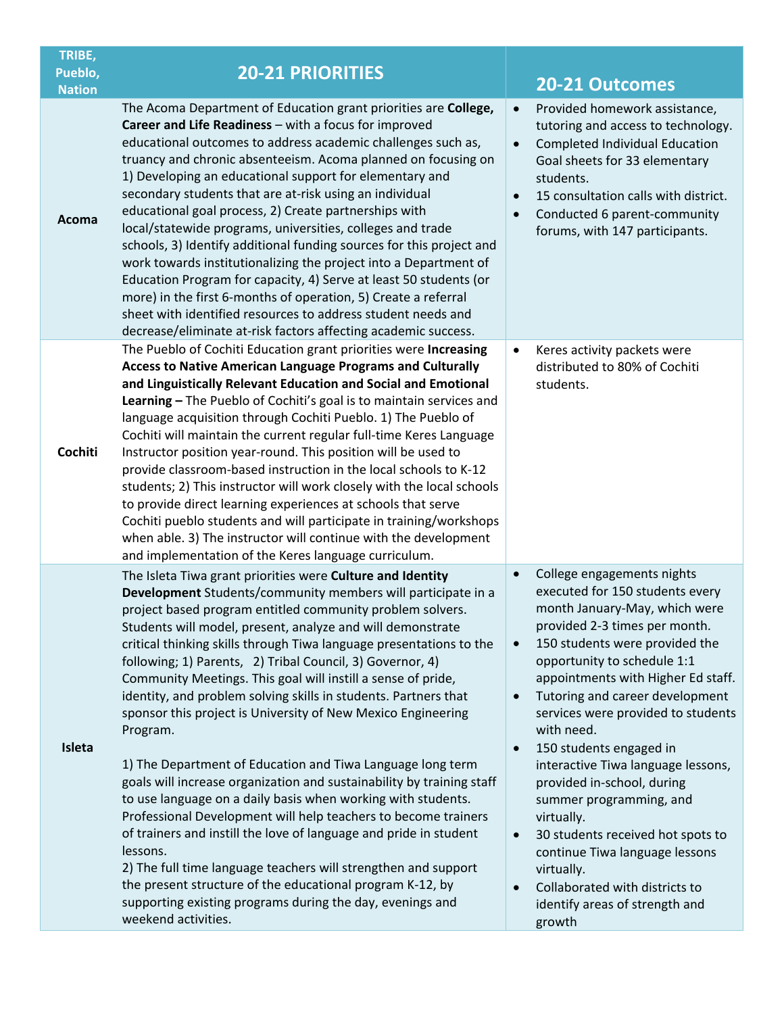| TRIBE,<br>Pueblo,<br><b>Nation</b> | <b>20-21 PRIORITIES</b>                                                                                                                                                                                                                                                                                                                                                                                                                                                                                                                                                                                                                                                                                                                                                                                                                                                                                                                                                                                                                                                                                                                                                               | 20-21 Outcomes                                                                                                                                                                                                                                                                                                                                                                                                                                                                                                                                                                                                                                                                                                         |
|------------------------------------|---------------------------------------------------------------------------------------------------------------------------------------------------------------------------------------------------------------------------------------------------------------------------------------------------------------------------------------------------------------------------------------------------------------------------------------------------------------------------------------------------------------------------------------------------------------------------------------------------------------------------------------------------------------------------------------------------------------------------------------------------------------------------------------------------------------------------------------------------------------------------------------------------------------------------------------------------------------------------------------------------------------------------------------------------------------------------------------------------------------------------------------------------------------------------------------|------------------------------------------------------------------------------------------------------------------------------------------------------------------------------------------------------------------------------------------------------------------------------------------------------------------------------------------------------------------------------------------------------------------------------------------------------------------------------------------------------------------------------------------------------------------------------------------------------------------------------------------------------------------------------------------------------------------------|
| Acoma                              | The Acoma Department of Education grant priorities are College,<br>Career and Life Readiness - with a focus for improved<br>educational outcomes to address academic challenges such as,<br>truancy and chronic absenteeism. Acoma planned on focusing on<br>1) Developing an educational support for elementary and<br>secondary students that are at-risk using an individual<br>educational goal process, 2) Create partnerships with<br>local/statewide programs, universities, colleges and trade<br>schools, 3) Identify additional funding sources for this project and<br>work towards institutionalizing the project into a Department of<br>Education Program for capacity, 4) Serve at least 50 students (or<br>more) in the first 6-months of operation, 5) Create a referral<br>sheet with identified resources to address student needs and<br>decrease/eliminate at-risk factors affecting academic success.                                                                                                                                                                                                                                                           | Provided homework assistance,<br>$\bullet$<br>tutoring and access to technology.<br>Completed Individual Education<br>$\bullet$<br>Goal sheets for 33 elementary<br>students.<br>15 consultation calls with district.<br>$\bullet$<br>Conducted 6 parent-community<br>$\bullet$<br>forums, with 147 participants.                                                                                                                                                                                                                                                                                                                                                                                                      |
| Cochiti                            | The Pueblo of Cochiti Education grant priorities were Increasing<br><b>Access to Native American Language Programs and Culturally</b><br>and Linguistically Relevant Education and Social and Emotional<br>Learning - The Pueblo of Cochiti's goal is to maintain services and<br>language acquisition through Cochiti Pueblo. 1) The Pueblo of<br>Cochiti will maintain the current regular full-time Keres Language<br>Instructor position year-round. This position will be used to<br>provide classroom-based instruction in the local schools to K-12<br>students; 2) This instructor will work closely with the local schools<br>to provide direct learning experiences at schools that serve<br>Cochiti pueblo students and will participate in training/workshops<br>when able. 3) The instructor will continue with the development<br>and implementation of the Keres language curriculum.                                                                                                                                                                                                                                                                                  | Keres activity packets were<br>$\bullet$<br>distributed to 80% of Cochiti<br>students.                                                                                                                                                                                                                                                                                                                                                                                                                                                                                                                                                                                                                                 |
| Isleta                             | The Isleta Tiwa grant priorities were Culture and Identity<br>Development Students/community members will participate in a<br>project based program entitled community problem solvers.<br>Students will model, present, analyze and will demonstrate<br>critical thinking skills through Tiwa language presentations to the<br>following; 1) Parents, 2) Tribal Council, 3) Governor, 4)<br>Community Meetings. This goal will instill a sense of pride,<br>identity, and problem solving skills in students. Partners that<br>sponsor this project is University of New Mexico Engineering<br>Program.<br>1) The Department of Education and Tiwa Language long term<br>goals will increase organization and sustainability by training staff<br>to use language on a daily basis when working with students.<br>Professional Development will help teachers to become trainers<br>of trainers and instill the love of language and pride in student<br>lessons.<br>2) The full time language teachers will strengthen and support<br>the present structure of the educational program K-12, by<br>supporting existing programs during the day, evenings and<br>weekend activities. | College engagements nights<br>$\bullet$<br>executed for 150 students every<br>month January-May, which were<br>provided 2-3 times per month.<br>150 students were provided the<br>$\bullet$<br>opportunity to schedule 1:1<br>appointments with Higher Ed staff.<br>Tutoring and career development<br>$\bullet$<br>services were provided to students<br>with need.<br>150 students engaged in<br>$\bullet$<br>interactive Tiwa language lessons,<br>provided in-school, during<br>summer programming, and<br>virtually.<br>30 students received hot spots to<br>$\bullet$<br>continue Tiwa language lessons<br>virtually.<br>Collaborated with districts to<br>$\bullet$<br>identify areas of strength and<br>growth |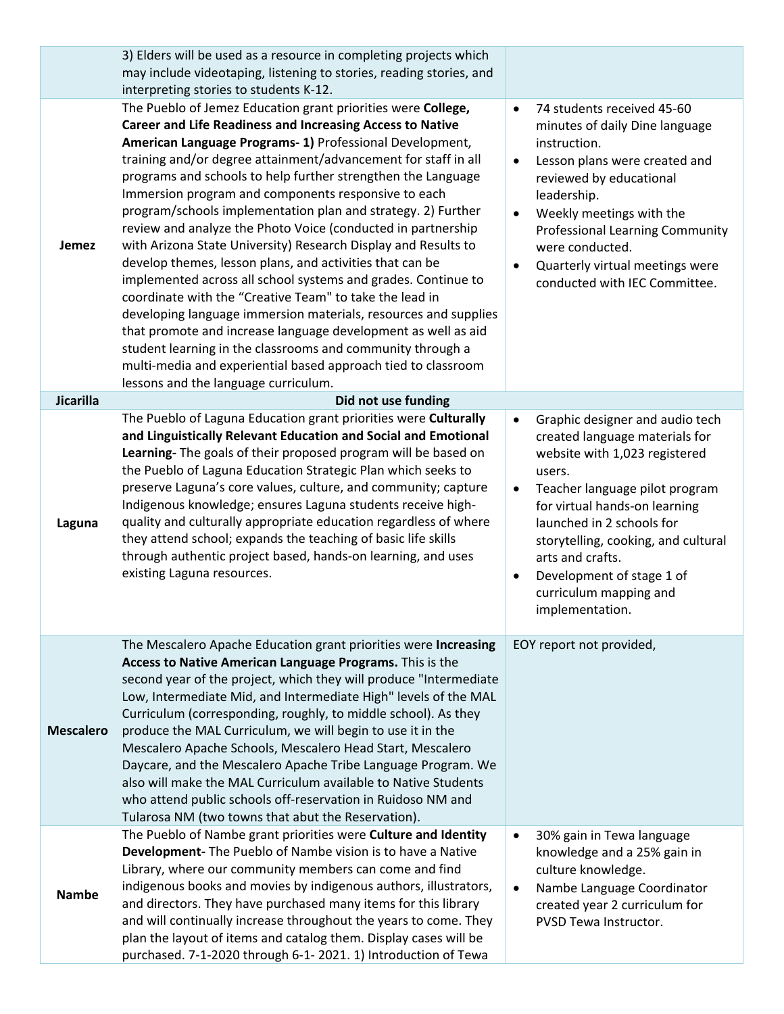|                  | 3) Elders will be used as a resource in completing projects which<br>may include videotaping, listening to stories, reading stories, and<br>interpreting stories to students K-12.                                                                                                                                                                                                                                                                                                                                                                                                                                                                                                                                                                                                                                                                                                                                                                                                                                                                                                         |                                                                                                                                                                                                                                                                                                                                                                             |
|------------------|--------------------------------------------------------------------------------------------------------------------------------------------------------------------------------------------------------------------------------------------------------------------------------------------------------------------------------------------------------------------------------------------------------------------------------------------------------------------------------------------------------------------------------------------------------------------------------------------------------------------------------------------------------------------------------------------------------------------------------------------------------------------------------------------------------------------------------------------------------------------------------------------------------------------------------------------------------------------------------------------------------------------------------------------------------------------------------------------|-----------------------------------------------------------------------------------------------------------------------------------------------------------------------------------------------------------------------------------------------------------------------------------------------------------------------------------------------------------------------------|
| Jemez            | The Pueblo of Jemez Education grant priorities were College,<br><b>Career and Life Readiness and Increasing Access to Native</b><br>American Language Programs- 1) Professional Development,<br>training and/or degree attainment/advancement for staff in all<br>programs and schools to help further strengthen the Language<br>Immersion program and components responsive to each<br>program/schools implementation plan and strategy. 2) Further<br>review and analyze the Photo Voice (conducted in partnership<br>with Arizona State University) Research Display and Results to<br>develop themes, lesson plans, and activities that can be<br>implemented across all school systems and grades. Continue to<br>coordinate with the "Creative Team" to take the lead in<br>developing language immersion materials, resources and supplies<br>that promote and increase language development as well as aid<br>student learning in the classrooms and community through a<br>multi-media and experiential based approach tied to classroom<br>lessons and the language curriculum. | 74 students received 45-60<br>$\bullet$<br>minutes of daily Dine language<br>instruction.<br>Lesson plans were created and<br>$\bullet$<br>reviewed by educational<br>leadership.<br>Weekly meetings with the<br>$\bullet$<br><b>Professional Learning Community</b><br>were conducted.<br>Quarterly virtual meetings were<br>$\bullet$<br>conducted with IEC Committee.    |
| Jicarilla        | Did not use funding                                                                                                                                                                                                                                                                                                                                                                                                                                                                                                                                                                                                                                                                                                                                                                                                                                                                                                                                                                                                                                                                        |                                                                                                                                                                                                                                                                                                                                                                             |
| Laguna           | The Pueblo of Laguna Education grant priorities were Culturally<br>and Linguistically Relevant Education and Social and Emotional<br>Learning- The goals of their proposed program will be based on<br>the Pueblo of Laguna Education Strategic Plan which seeks to<br>preserve Laguna's core values, culture, and community; capture<br>Indigenous knowledge; ensures Laguna students receive high-<br>quality and culturally appropriate education regardless of where<br>they attend school; expands the teaching of basic life skills<br>through authentic project based, hands-on learning, and uses<br>existing Laguna resources.                                                                                                                                                                                                                                                                                                                                                                                                                                                    | Graphic designer and audio tech<br>$\bullet$<br>created language materials for<br>website with 1,023 registered<br>users.<br>Teacher language pilot program<br>$\bullet$<br>for virtual hands-on learning<br>launched in 2 schools for<br>storytelling, cooking, and cultural<br>arts and crafts.<br>Development of stage 1 of<br>curriculum mapping and<br>implementation. |
| <b>Mescalero</b> | The Mescalero Apache Education grant priorities were Increasing<br>Access to Native American Language Programs. This is the<br>second year of the project, which they will produce "Intermediate<br>Low, Intermediate Mid, and Intermediate High" levels of the MAL<br>Curriculum (corresponding, roughly, to middle school). As they<br>produce the MAL Curriculum, we will begin to use it in the<br>Mescalero Apache Schools, Mescalero Head Start, Mescalero<br>Daycare, and the Mescalero Apache Tribe Language Program. We<br>also will make the MAL Curriculum available to Native Students<br>who attend public schools off-reservation in Ruidoso NM and<br>Tularosa NM (two towns that abut the Reservation).                                                                                                                                                                                                                                                                                                                                                                    | EOY report not provided,                                                                                                                                                                                                                                                                                                                                                    |
| <b>Nambe</b>     | The Pueblo of Nambe grant priorities were Culture and Identity<br>Development- The Pueblo of Nambe vision is to have a Native<br>Library, where our community members can come and find<br>indigenous books and movies by indigenous authors, illustrators,<br>and directors. They have purchased many items for this library<br>and will continually increase throughout the years to come. They<br>plan the layout of items and catalog them. Display cases will be<br>purchased. 7-1-2020 through 6-1- 2021. 1) Introduction of Tewa                                                                                                                                                                                                                                                                                                                                                                                                                                                                                                                                                    | 30% gain in Tewa language<br>$\bullet$<br>knowledge and a 25% gain in<br>culture knowledge.<br>Nambe Language Coordinator<br>$\bullet$<br>created year 2 curriculum for<br>PVSD Tewa Instructor.                                                                                                                                                                            |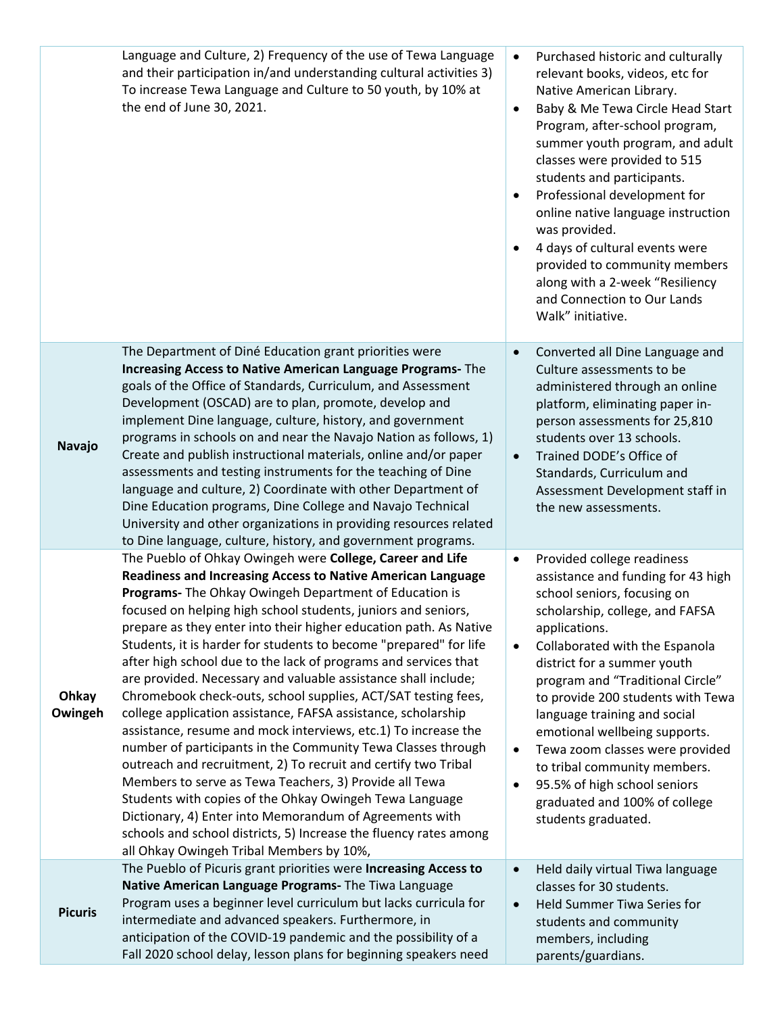|                  | Language and Culture, 2) Frequency of the use of Tewa Language<br>and their participation in/and understanding cultural activities 3)<br>To increase Tewa Language and Culture to 50 youth, by 10% at<br>the end of June 30, 2021.                                                                                                                                                                                                                                                                                                                                                                                                                                                                                                                                                                                                                                                                                                                                                                                                                                                                                                                                               | $\bullet$<br>$\bullet$<br>$\bullet$<br>$\bullet$ | Purchased historic and culturally<br>relevant books, videos, etc for<br>Native American Library.<br>Baby & Me Tewa Circle Head Start<br>Program, after-school program,<br>summer youth program, and adult<br>classes were provided to 515<br>students and participants.<br>Professional development for<br>online native language instruction<br>was provided.<br>4 days of cultural events were<br>provided to community members<br>along with a 2-week "Resiliency<br>and Connection to Our Lands<br>Walk" initiative.  |
|------------------|----------------------------------------------------------------------------------------------------------------------------------------------------------------------------------------------------------------------------------------------------------------------------------------------------------------------------------------------------------------------------------------------------------------------------------------------------------------------------------------------------------------------------------------------------------------------------------------------------------------------------------------------------------------------------------------------------------------------------------------------------------------------------------------------------------------------------------------------------------------------------------------------------------------------------------------------------------------------------------------------------------------------------------------------------------------------------------------------------------------------------------------------------------------------------------|--------------------------------------------------|---------------------------------------------------------------------------------------------------------------------------------------------------------------------------------------------------------------------------------------------------------------------------------------------------------------------------------------------------------------------------------------------------------------------------------------------------------------------------------------------------------------------------|
| Navajo           | The Department of Diné Education grant priorities were<br>Increasing Access to Native American Language Programs- The<br>goals of the Office of Standards, Curriculum, and Assessment<br>Development (OSCAD) are to plan, promote, develop and<br>implement Dine language, culture, history, and government<br>programs in schools on and near the Navajo Nation as follows, 1)<br>Create and publish instructional materials, online and/or paper<br>assessments and testing instruments for the teaching of Dine<br>language and culture, 2) Coordinate with other Department of<br>Dine Education programs, Dine College and Navajo Technical<br>University and other organizations in providing resources related<br>to Dine language, culture, history, and government programs.                                                                                                                                                                                                                                                                                                                                                                                            | $\bullet$<br>$\bullet$                           | Converted all Dine Language and<br>Culture assessments to be<br>administered through an online<br>platform, eliminating paper in-<br>person assessments for 25,810<br>students over 13 schools.<br>Trained DODE's Office of<br>Standards, Curriculum and<br>Assessment Development staff in<br>the new assessments.                                                                                                                                                                                                       |
| Ohkay<br>Owingeh | The Pueblo of Ohkay Owingeh were College, Career and Life<br><b>Readiness and Increasing Access to Native American Language</b><br>Programs- The Ohkay Owingeh Department of Education is<br>focused on helping high school students, juniors and seniors,<br>prepare as they enter into their higher education path. As Native<br>Students, it is harder for students to become "prepared" for life<br>after high school due to the lack of programs and services that<br>are provided. Necessary and valuable assistance shall include;<br>Chromebook check-outs, school supplies, ACT/SAT testing fees,<br>college application assistance, FAFSA assistance, scholarship<br>assistance, resume and mock interviews, etc.1) To increase the<br>number of participants in the Community Tewa Classes through<br>outreach and recruitment, 2) To recruit and certify two Tribal<br>Members to serve as Tewa Teachers, 3) Provide all Tewa<br>Students with copies of the Ohkay Owingeh Tewa Language<br>Dictionary, 4) Enter into Memorandum of Agreements with<br>schools and school districts, 5) Increase the fluency rates among<br>all Ohkay Owingeh Tribal Members by 10%, | $\bullet$<br>$\bullet$<br>$\bullet$<br>$\bullet$ | Provided college readiness<br>assistance and funding for 43 high<br>school seniors, focusing on<br>scholarship, college, and FAFSA<br>applications.<br>Collaborated with the Espanola<br>district for a summer youth<br>program and "Traditional Circle"<br>to provide 200 students with Tewa<br>language training and social<br>emotional wellbeing supports.<br>Tewa zoom classes were provided<br>to tribal community members.<br>95.5% of high school seniors<br>graduated and 100% of college<br>students graduated. |
| <b>Picuris</b>   | The Pueblo of Picuris grant priorities were Increasing Access to<br>Native American Language Programs- The Tiwa Language<br>Program uses a beginner level curriculum but lacks curricula for<br>intermediate and advanced speakers. Furthermore, in<br>anticipation of the COVID-19 pandemic and the possibility of a<br>Fall 2020 school delay, lesson plans for beginning speakers need                                                                                                                                                                                                                                                                                                                                                                                                                                                                                                                                                                                                                                                                                                                                                                                        | $\bullet$<br>$\bullet$                           | Held daily virtual Tiwa language<br>classes for 30 students.<br><b>Held Summer Tiwa Series for</b><br>students and community<br>members, including<br>parents/guardians.                                                                                                                                                                                                                                                                                                                                                  |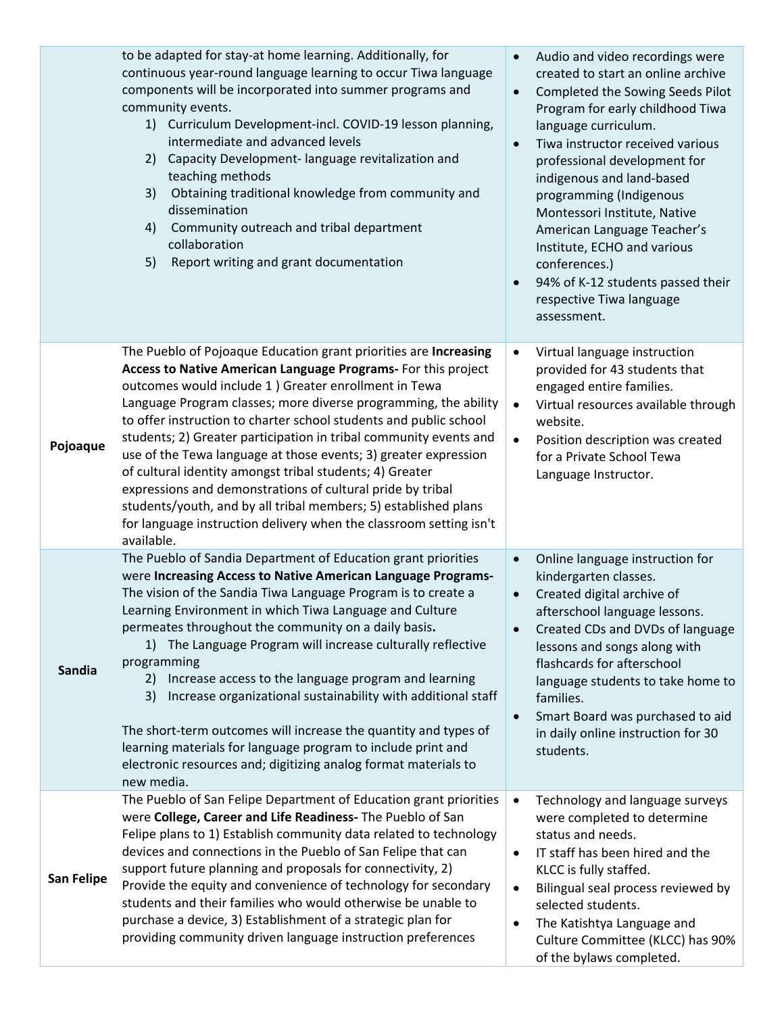|                   | to be adapted for stay-at home learning. Additionally, for<br>continuous year-round language learning to occur Tiwa language<br>components will be incorporated into summer programs and<br>community events.<br>1) Curriculum Development-incl. COVID-19 lesson planning,<br>intermediate and advanced levels<br>Capacity Development-language revitalization and<br>2)<br>teaching methods<br>3)<br>Obtaining traditional knowledge from community and<br>dissemination<br>Community outreach and tribal department<br>4)<br>collaboration<br>5)<br>Report writing and grant documentation                                                                                                                                                                | Audio and video recordings were<br>$\bullet$<br>created to start an online archive<br>Completed the Sowing Seeds Pilot<br>$\bullet$<br>Program for early childhood Tiwa<br>language curriculum.<br>Tiwa instructor received various<br>professional development for<br>indigenous and land-based<br>programming (Indigenous<br>Montessori Institute, Native<br>American Language Teacher's<br>Institute, ECHO and various<br>conferences.)<br>94% of K-12 students passed their<br>$\bullet$<br>respective Tiwa language<br>assessment. |
|-------------------|-------------------------------------------------------------------------------------------------------------------------------------------------------------------------------------------------------------------------------------------------------------------------------------------------------------------------------------------------------------------------------------------------------------------------------------------------------------------------------------------------------------------------------------------------------------------------------------------------------------------------------------------------------------------------------------------------------------------------------------------------------------|-----------------------------------------------------------------------------------------------------------------------------------------------------------------------------------------------------------------------------------------------------------------------------------------------------------------------------------------------------------------------------------------------------------------------------------------------------------------------------------------------------------------------------------------|
| Pojoaque          | The Pueblo of Pojoaque Education grant priorities are Increasing<br>Access to Native American Language Programs- For this project<br>outcomes would include 1 ) Greater enrollment in Tewa<br>Language Program classes; more diverse programming, the ability<br>to offer instruction to charter school students and public school<br>students; 2) Greater participation in tribal community events and<br>use of the Tewa language at those events; 3) greater expression<br>of cultural identity amongst tribal students; 4) Greater<br>expressions and demonstrations of cultural pride by tribal<br>students/youth, and by all tribal members; 5) established plans<br>for language instruction delivery when the classroom setting isn't<br>available. | Virtual language instruction<br>$\bullet$<br>provided for 43 students that<br>engaged entire families.<br>Virtual resources available through<br>$\bullet$<br>website.<br>Position description was created<br>$\bullet$<br>for a Private School Tewa<br>Language Instructor.                                                                                                                                                                                                                                                            |
| Sandia            | The Pueblo of Sandia Department of Education grant priorities<br>were Increasing Access to Native American Language Programs-<br>The vision of the Sandia Tiwa Language Program is to create a<br>Learning Environment in which Tiwa Language and Culture<br>permeates throughout the community on a daily basis.<br>1) The Language Program will increase culturally reflective<br>programming<br>2) Increase access to the language program and learning<br>3)<br>Increase organizational sustainability with additional staff<br>The short-term outcomes will increase the quantity and types of<br>learning materials for language program to include print and<br>electronic resources and; digitizing analog format materials to<br>new media.        | Online language instruction for<br>$\bullet$<br>kindergarten classes.<br>Created digital archive of<br>afterschool language lessons.<br>Created CDs and DVDs of language<br>lessons and songs along with<br>flashcards for afterschool<br>language students to take home to<br>families.<br>Smart Board was purchased to aid<br>$\bullet$<br>in daily online instruction for 30<br>students.                                                                                                                                            |
| <b>San Felipe</b> | The Pueblo of San Felipe Department of Education grant priorities<br>were College, Career and Life Readiness- The Pueblo of San<br>Felipe plans to 1) Establish community data related to technology<br>devices and connections in the Pueblo of San Felipe that can<br>support future planning and proposals for connectivity, 2)<br>Provide the equity and convenience of technology for secondary<br>students and their families who would otherwise be unable to<br>purchase a device, 3) Establishment of a strategic plan for<br>providing community driven language instruction preferences                                                                                                                                                          | Technology and language surveys<br>$\bullet$<br>were completed to determine<br>status and needs.<br>IT staff has been hired and the<br>$\bullet$<br>KLCC is fully staffed.<br>Bilingual seal process reviewed by<br>٠<br>selected students.<br>The Katishtya Language and<br>$\bullet$<br>Culture Committee (KLCC) has 90%<br>of the bylaws completed.                                                                                                                                                                                  |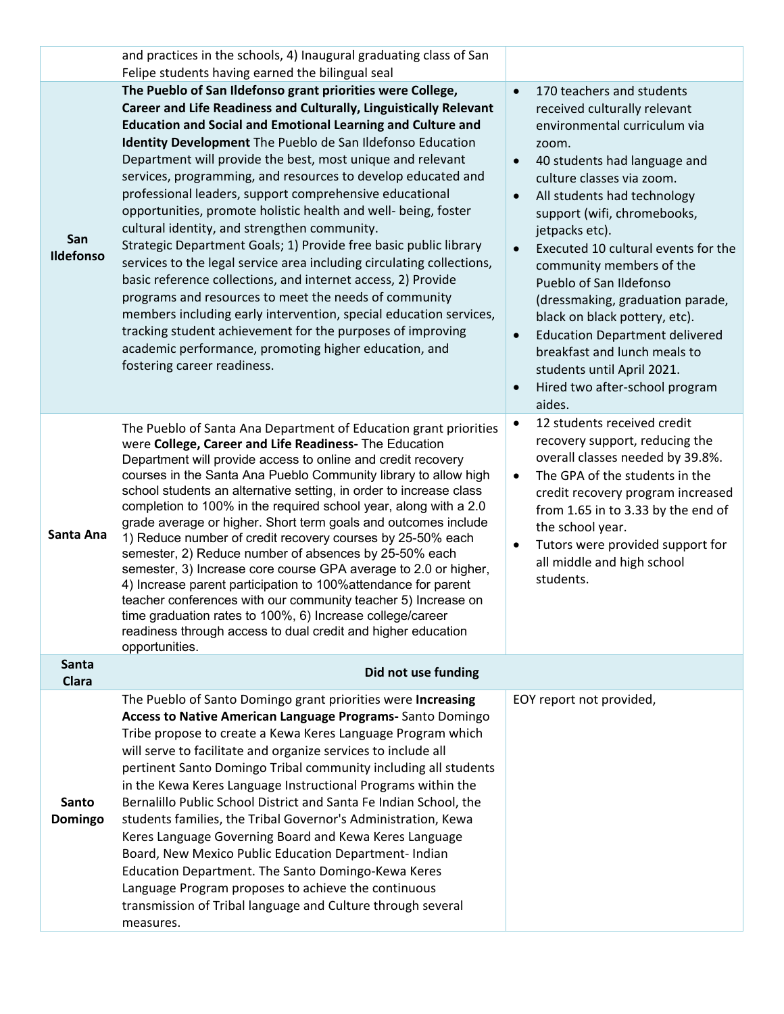|                         | and practices in the schools, 4) Inaugural graduating class of San<br>Felipe students having earned the bilingual seal                                                                                                                                                                                                                                                                                                                                                                                                                                                                                                                                                                                                                                                                                                                                                                                                                                                                                                                                                          |                                                                                                                                                                                                                                                                                                                                                                                                                                                                                                                                                                                                                                                     |
|-------------------------|---------------------------------------------------------------------------------------------------------------------------------------------------------------------------------------------------------------------------------------------------------------------------------------------------------------------------------------------------------------------------------------------------------------------------------------------------------------------------------------------------------------------------------------------------------------------------------------------------------------------------------------------------------------------------------------------------------------------------------------------------------------------------------------------------------------------------------------------------------------------------------------------------------------------------------------------------------------------------------------------------------------------------------------------------------------------------------|-----------------------------------------------------------------------------------------------------------------------------------------------------------------------------------------------------------------------------------------------------------------------------------------------------------------------------------------------------------------------------------------------------------------------------------------------------------------------------------------------------------------------------------------------------------------------------------------------------------------------------------------------------|
| San<br><b>Ildefonso</b> | The Pueblo of San Ildefonso grant priorities were College,<br>Career and Life Readiness and Culturally, Linguistically Relevant<br><b>Education and Social and Emotional Learning and Culture and</b><br>Identity Development The Pueblo de San Ildefonso Education<br>Department will provide the best, most unique and relevant<br>services, programming, and resources to develop educated and<br>professional leaders, support comprehensive educational<br>opportunities, promote holistic health and well- being, foster<br>cultural identity, and strengthen community.<br>Strategic Department Goals; 1) Provide free basic public library<br>services to the legal service area including circulating collections,<br>basic reference collections, and internet access, 2) Provide<br>programs and resources to meet the needs of community<br>members including early intervention, special education services,<br>tracking student achievement for the purposes of improving<br>academic performance, promoting higher education, and<br>fostering career readiness. | 170 teachers and students<br>$\bullet$<br>received culturally relevant<br>environmental curriculum via<br>zoom.<br>40 students had language and<br>$\bullet$<br>culture classes via zoom.<br>All students had technology<br>$\bullet$<br>support (wifi, chromebooks,<br>jetpacks etc).<br>Executed 10 cultural events for the<br>$\bullet$<br>community members of the<br>Pueblo of San Ildefonso<br>(dressmaking, graduation parade,<br>black on black pottery, etc).<br><b>Education Department delivered</b><br>$\bullet$<br>breakfast and lunch meals to<br>students until April 2021.<br>Hired two after-school program<br>$\bullet$<br>aides. |
| Santa Ana               | The Pueblo of Santa Ana Department of Education grant priorities<br>were College, Career and Life Readiness- The Education<br>Department will provide access to online and credit recovery<br>courses in the Santa Ana Pueblo Community library to allow high<br>school students an alternative setting, in order to increase class<br>completion to 100% in the required school year, along with a 2.0<br>grade average or higher. Short term goals and outcomes include<br>1) Reduce number of credit recovery courses by 25-50% each<br>semester, 2) Reduce number of absences by 25-50% each<br>semester, 3) Increase core course GPA average to 2.0 or higher,<br>4) Increase parent participation to 100% attendance for parent<br>teacher conferences with our community teacher 5) Increase on<br>time graduation rates to 100%, 6) Increase college/career<br>readiness through access to dual credit and higher education<br>opportunities.                                                                                                                           | 12 students received credit<br>$\bullet$<br>recovery support, reducing the<br>overall classes needed by 39.8%.<br>The GPA of the students in the<br>$\bullet$<br>credit recovery program increased<br>from 1.65 in to 3.33 by the end of<br>the school year.<br>Tutors were provided support for<br>$\bullet$<br>all middle and high school<br>students.                                                                                                                                                                                                                                                                                            |
| Santa<br><b>Clara</b>   | Did not use funding                                                                                                                                                                                                                                                                                                                                                                                                                                                                                                                                                                                                                                                                                                                                                                                                                                                                                                                                                                                                                                                             |                                                                                                                                                                                                                                                                                                                                                                                                                                                                                                                                                                                                                                                     |
| Santo<br>Domingo        | The Pueblo of Santo Domingo grant priorities were Increasing<br>Access to Native American Language Programs-Santo Domingo<br>Tribe propose to create a Kewa Keres Language Program which<br>will serve to facilitate and organize services to include all<br>pertinent Santo Domingo Tribal community including all students<br>in the Kewa Keres Language Instructional Programs within the<br>Bernalillo Public School District and Santa Fe Indian School, the<br>students families, the Tribal Governor's Administration, Kewa<br>Keres Language Governing Board and Kewa Keres Language<br>Board, New Mexico Public Education Department- Indian<br>Education Department. The Santo Domingo-Kewa Keres<br>Language Program proposes to achieve the continuous<br>transmission of Tribal language and Culture through several<br>measures.                                                                                                                                                                                                                                  | EOY report not provided,                                                                                                                                                                                                                                                                                                                                                                                                                                                                                                                                                                                                                            |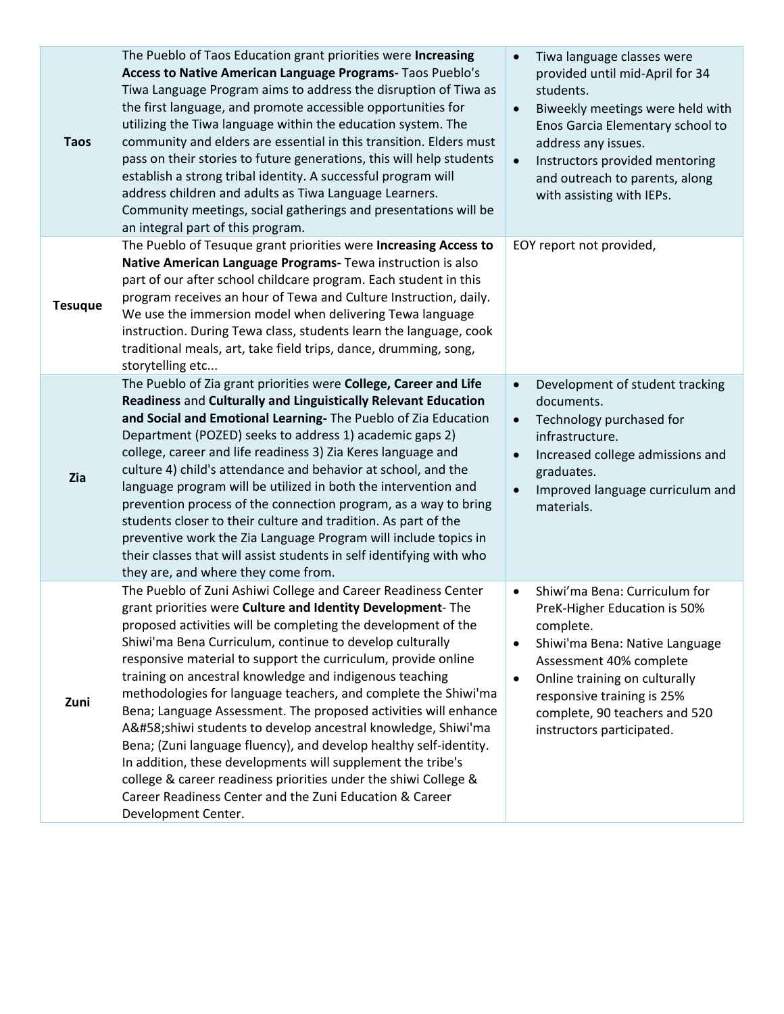| <b>Taos</b>    | The Pueblo of Taos Education grant priorities were Increasing<br>Access to Native American Language Programs- Taos Pueblo's<br>Tiwa Language Program aims to address the disruption of Tiwa as<br>the first language, and promote accessible opportunities for<br>utilizing the Tiwa language within the education system. The<br>community and elders are essential in this transition. Elders must<br>pass on their stories to future generations, this will help students<br>establish a strong tribal identity. A successful program will<br>address children and adults as Tiwa Language Learners.<br>Community meetings, social gatherings and presentations will be<br>an integral part of this program.                                                                                                                                                                 | Tiwa language classes were<br>$\bullet$<br>provided until mid-April for 34<br>students.<br>Biweekly meetings were held with<br>$\bullet$<br>Enos Garcia Elementary school to<br>address any issues.<br>Instructors provided mentoring<br>$\bullet$<br>and outreach to parents, along<br>with assisting with IEPs. |
|----------------|---------------------------------------------------------------------------------------------------------------------------------------------------------------------------------------------------------------------------------------------------------------------------------------------------------------------------------------------------------------------------------------------------------------------------------------------------------------------------------------------------------------------------------------------------------------------------------------------------------------------------------------------------------------------------------------------------------------------------------------------------------------------------------------------------------------------------------------------------------------------------------|-------------------------------------------------------------------------------------------------------------------------------------------------------------------------------------------------------------------------------------------------------------------------------------------------------------------|
| <b>Tesuque</b> | The Pueblo of Tesuque grant priorities were Increasing Access to<br>Native American Language Programs- Tewa instruction is also<br>part of our after school childcare program. Each student in this<br>program receives an hour of Tewa and Culture Instruction, daily.<br>We use the immersion model when delivering Tewa language<br>instruction. During Tewa class, students learn the language, cook<br>traditional meals, art, take field trips, dance, drumming, song,<br>storytelling etc                                                                                                                                                                                                                                                                                                                                                                                | EOY report not provided,                                                                                                                                                                                                                                                                                          |
| Zia            | The Pueblo of Zia grant priorities were College, Career and Life<br>Readiness and Culturally and Linguistically Relevant Education<br>and Social and Emotional Learning- The Pueblo of Zia Education<br>Department (POZED) seeks to address 1) academic gaps 2)<br>college, career and life readiness 3) Zia Keres language and<br>culture 4) child's attendance and behavior at school, and the<br>language program will be utilized in both the intervention and<br>prevention process of the connection program, as a way to bring<br>students closer to their culture and tradition. As part of the<br>preventive work the Zia Language Program will include topics in<br>their classes that will assist students in self identifying with who<br>they are, and where they come from.                                                                                       | Development of student tracking<br>$\bullet$<br>documents.<br>Technology purchased for<br>$\bullet$<br>infrastructure.<br>Increased college admissions and<br>$\bullet$<br>graduates.<br>Improved language curriculum and<br>$\bullet$<br>materials.                                                              |
| Zuni           | The Pueblo of Zuni Ashiwi College and Career Readiness Center<br>grant priorities were Culture and Identity Development-The<br>proposed activities will be completing the development of the<br>Shiwi'ma Bena Curriculum, continue to develop culturally<br>responsive material to support the curriculum, provide online<br>training on ancestral knowledge and indigenous teaching<br>methodologies for language teachers, and complete the Shiwi'ma<br>Bena; Language Assessment. The proposed activities will enhance<br>A:shiwi students to develop ancestral knowledge, Shiwi'ma<br>Bena; (Zuni language fluency), and develop healthy self-identity.<br>In addition, these developments will supplement the tribe's<br>college & career readiness priorities under the shiwi College &<br>Career Readiness Center and the Zuni Education & Career<br>Development Center. | Shiwi'ma Bena: Curriculum for<br>$\bullet$<br>PreK-Higher Education is 50%<br>complete.<br>Shiwi'ma Bena: Native Language<br>$\bullet$<br>Assessment 40% complete<br>Online training on culturally<br>$\bullet$<br>responsive training is 25%<br>complete, 90 teachers and 520<br>instructors participated.       |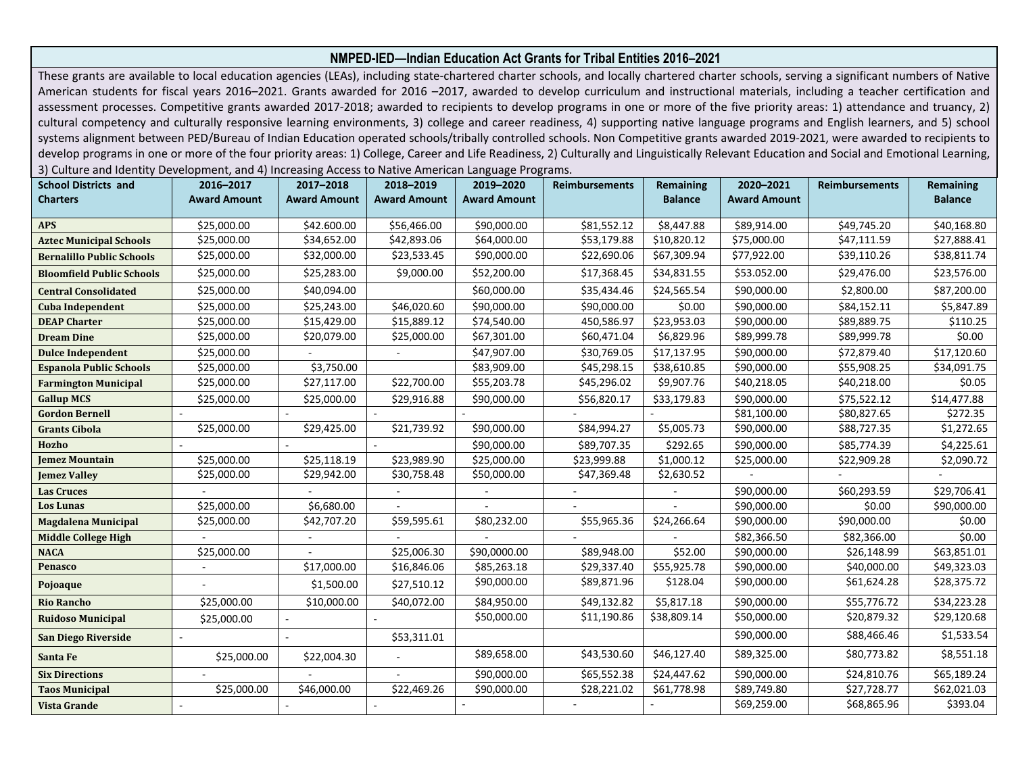## **NMPED-IED—Indian Education Act Grants for Tribal Entities 2016–2021**

These grants are available to local education agencies (LEAs), including state-chartered charter schools, and locally chartered charter schools, serving a significant numbers of Native American students for fiscal years 2016–2021. Grants awarded for 2016–2017, awarded to develop curriculum and instructional materials, including a teacher certification and assessment processes. Competitive grants awarded 2017-2018; awarded to recipients to develop programs in one or more of the five priority areas: 1) attendance and truancy, 2) cultural competency and culturally responsive learning environments, 3) college and career readiness, 4) supporting native language programs and English learners, and 5) school systems alignment between PED/Bureau of Indian Education operated schools/tribally controlled schools. Non Competitive grants awarded 2019-2021, were awarded to recipients to develop programs in one or more of the four priority areas: 1) College, Career and Life Readiness, 2) Culturally and Linguistically Relevant Education and Social and Emotional Learning, 3) Culture and Identity Development, and 4) Increasing Access to Native American Language Programs.

| <b>School Districts and</b>      | 2016-2017           | 2017-2018           | 2018-2019           | 2019-2020           | <b>Reimbursements</b> | Remaining      | 2020-2021           | <b>Reimbursements</b> | <b>Remaining</b> |
|----------------------------------|---------------------|---------------------|---------------------|---------------------|-----------------------|----------------|---------------------|-----------------------|------------------|
| <b>Charters</b>                  | <b>Award Amount</b> | <b>Award Amount</b> | <b>Award Amount</b> | <b>Award Amount</b> |                       | <b>Balance</b> | <b>Award Amount</b> |                       | <b>Balance</b>   |
|                                  |                     |                     |                     |                     |                       |                |                     |                       |                  |
| <b>APS</b>                       | \$25,000.00         | \$42.600.00         | \$56,466.00         | \$90,000.00         | \$81,552.12           | \$8,447.88     | \$89,914.00         | \$49,745.20           | \$40,168.80      |
| <b>Aztec Municipal Schools</b>   | \$25,000.00         | \$34,652.00         | \$42,893.06         | \$64,000.00         | \$53,179.88           | \$10,820.12    | \$75,000.00         | \$47,111.59           | \$27,888.41      |
| <b>Bernalillo Public Schools</b> | \$25,000.00         | \$32,000.00         | \$23,533.45         | \$90,000.00         | \$22,690.06           | \$67,309.94    | \$77,922.00         | \$39,110.26           | \$38,811.74      |
| <b>Bloomfield Public Schools</b> | \$25,000.00         | \$25,283.00         | \$9,000.00          | \$52,200.00         | \$17,368.45           | \$34,831.55    | \$53.052.00         | \$29,476.00           | \$23,576.00      |
| <b>Central Consolidated</b>      | \$25,000.00         | \$40,094.00         |                     | \$60,000.00         | \$35,434.46           | \$24,565.54    | \$90,000.00         | \$2,800.00            | \$87,200.00      |
| Cuba Independent                 | \$25,000.00         | \$25,243.00         | \$46,020.60         | \$90,000.00         | \$90,000.00           | \$0.00         | \$90,000.00         | \$84,152.11           | \$5,847.89       |
| <b>DEAP Charter</b>              | \$25,000.00         | \$15,429.00         | \$15,889.12         | \$74,540.00         | 450,586.97            | \$23,953.03    | \$90,000.00         | \$89,889.75           | \$110.25         |
| <b>Dream Dine</b>                | \$25,000.00         | \$20,079.00         | \$25,000.00         | \$67,301.00         | \$60,471.04           | \$6,829.96     | \$89,999.78         | \$89,999.78           | \$0.00           |
| <b>Dulce Independent</b>         | \$25,000.00         |                     |                     | \$47,907.00         | \$30,769.05           | \$17,137.95    | \$90,000.00         | \$72,879.40           | \$17,120.60      |
| <b>Espanola Public Schools</b>   | \$25,000.00         | \$3,750.00          |                     | \$83,909.00         | \$45,298.15           | \$38,610.85    | \$90,000.00         | \$55,908.25           | \$34,091.75      |
| <b>Farmington Municipal</b>      | \$25,000.00         | \$27,117.00         | \$22,700.00         | \$55,203.78         | \$45,296.02           | \$9,907.76     | \$40,218.05         | \$40,218.00           | \$0.05           |
| <b>Gallup MCS</b>                | \$25,000.00         | \$25,000.00         | \$29,916.88         | \$90,000.00         | \$56,820.17           | \$33,179.83    | \$90,000.00         | \$75,522.12           | \$14,477.88      |
| <b>Gordon Bernell</b>            |                     |                     |                     |                     |                       |                | \$81,100.00         | \$80,827.65           | \$272.35         |
| <b>Grants Cibola</b>             | \$25,000.00         | \$29,425.00         | \$21,739.92         | \$90,000.00         | \$84,994.27           | \$5,005.73     | \$90,000.00         | \$88,727.35           | \$1,272.65       |
| Hozho                            |                     |                     |                     | \$90,000.00         | \$89,707.35           | \$292.65       | \$90,000.00         | \$85,774.39           | \$4,225.61       |
| <b>Jemez Mountain</b>            | \$25,000.00         | \$25,118.19         | \$23,989.90         | \$25,000.00         | \$23,999.88           | \$1,000.12     | \$25,000.00         | \$22,909.28           | \$2,090.72       |
| <b>Jemez Valley</b>              | \$25,000.00         | \$29,942.00         | \$30,758.48         | \$50,000.00         | \$47,369.48           | \$2,630.52     |                     |                       |                  |
| <b>Las Cruces</b>                |                     |                     |                     |                     |                       |                | \$90,000.00         | \$60,293.59           | \$29,706.41      |
| <b>Los Lunas</b>                 | \$25,000.00         | \$6,680.00          | $\sim$              |                     |                       |                | \$90,000.00         | \$0.00                | \$90,000.00      |
| <b>Magdalena Municipal</b>       | \$25,000.00         | \$42,707.20         | \$59,595.61         | \$80,232.00         | \$55,965.36           | \$24,266.64    | \$90,000.00         | \$90,000.00           | \$0.00           |
| <b>Middle College High</b>       |                     |                     |                     |                     |                       |                | \$82,366.50         | \$82,366.00           | \$0.00           |
| <b>NACA</b>                      | \$25,000.00         |                     | \$25,006.30         | \$90,0000.00        | \$89,948.00           | \$52.00        | \$90,000.00         | \$26,148.99           | \$63,851.01      |
| Penasco                          |                     | \$17,000.00         | \$16,846.06         | \$85,263.18         | \$29,337.40           | \$55,925.78    | \$90,000.00         | \$40,000.00           | \$49,323.03      |
| Pojoaque                         |                     | \$1,500.00          | \$27,510.12         | \$90,000.00         | \$89,871.96           | \$128.04       | \$90,000.00         | \$61,624.28           | \$28,375.72      |
| <b>Rio Rancho</b>                | \$25,000.00         | \$10,000.00         | \$40,072.00         | \$84,950.00         | \$49,132.82           | \$5,817.18     | \$90,000.00         | \$55,776.72           | \$34,223.28      |
| <b>Ruidoso Municipal</b>         | \$25,000.00         |                     |                     | \$50,000.00         | \$11,190.86           | \$38,809.14    | \$50,000.00         | \$20,879.32           | \$29,120.68      |
| San Diego Riverside              |                     |                     | \$53,311.01         |                     |                       |                | \$90,000.00         | \$88,466.46           | \$1,533.54       |
| Santa Fe                         | \$25,000.00         | \$22,004.30         | $\sim$              | \$89,658.00         | \$43,530.60           | \$46,127.40    | \$89,325.00         | \$80,773.82           | \$8,551.18       |
| <b>Six Directions</b>            |                     |                     |                     | \$90,000.00         | \$65,552.38           | \$24,447.62    | \$90,000.00         | \$24,810.76           | \$65,189.24      |
| <b>Taos Municipal</b>            | \$25,000.00         | \$46,000.00         | \$22,469.26         | \$90,000.00         | \$28,221.02           | \$61,778.98    | \$89,749.80         | \$27,728.77           | \$62,021.03      |
| Vista Grande                     |                     |                     |                     |                     |                       |                | \$69,259.00         | \$68,865.96           | \$393.04         |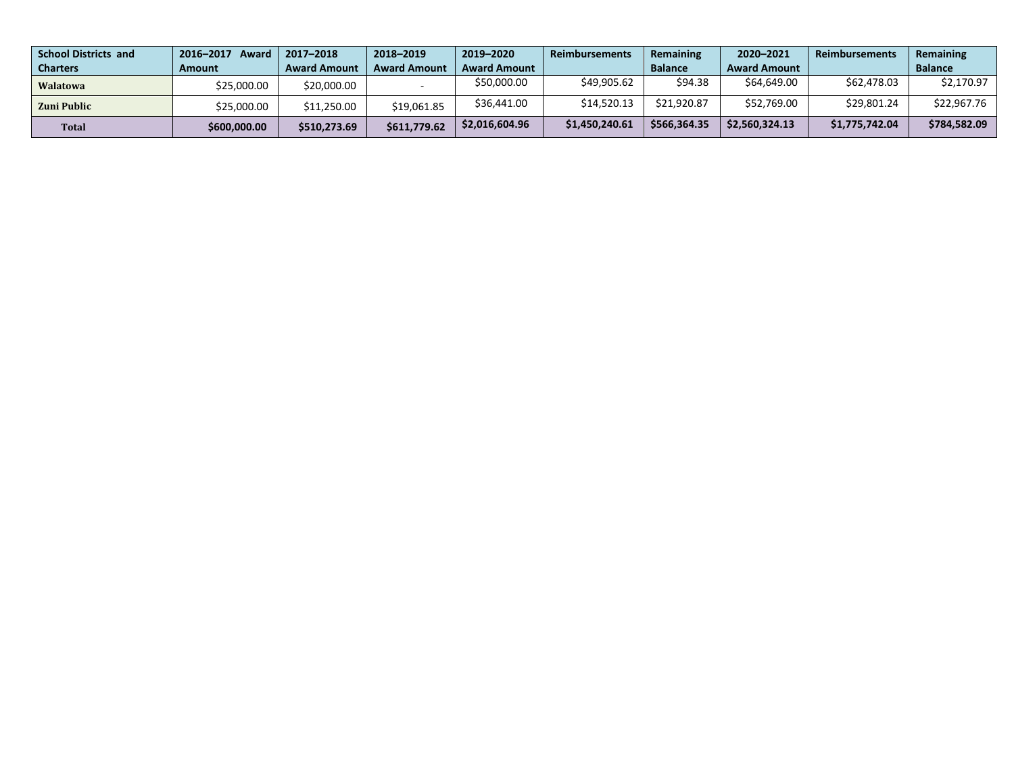| <b>School Districts and</b> | 2016-2017<br>Award | 2017-2018           | 2018-2019           | 2019-2020           | <b>Reimbursements</b> | <b>Remaining</b> | 2020-2021           | <b>Reimbursements</b> | Remaining      |
|-----------------------------|--------------------|---------------------|---------------------|---------------------|-----------------------|------------------|---------------------|-----------------------|----------------|
| <b>Charters</b>             | Amount             | <b>Award Amount</b> | <b>Award Amount</b> | <b>Award Amount</b> |                       | <b>Balance</b>   | <b>Award Amount</b> |                       | <b>Balance</b> |
| <b>Walatowa</b>             | \$25.000.00        | \$20,000.00         |                     | \$50,000.00         | \$49,905.62           | \$94.38          | \$64,649.00         | \$62,478.03           | \$2,170.97     |
| Zuni Public                 | \$25,000.00        | \$11,250.00         | \$19,061.85         | \$36.441.00         | \$14,520.13           | \$21,920.87      | \$52,769.00         | \$29.801.24           | \$22,967.76    |
| <b>Total</b>                | \$600,000.00       | \$510,273.69        | \$611,779.62        | \$2,016,604.96      | \$1,450,240.61        | \$566,364.35     | \$2,560,324.13      | \$1,775,742.04        | \$784,582.09   |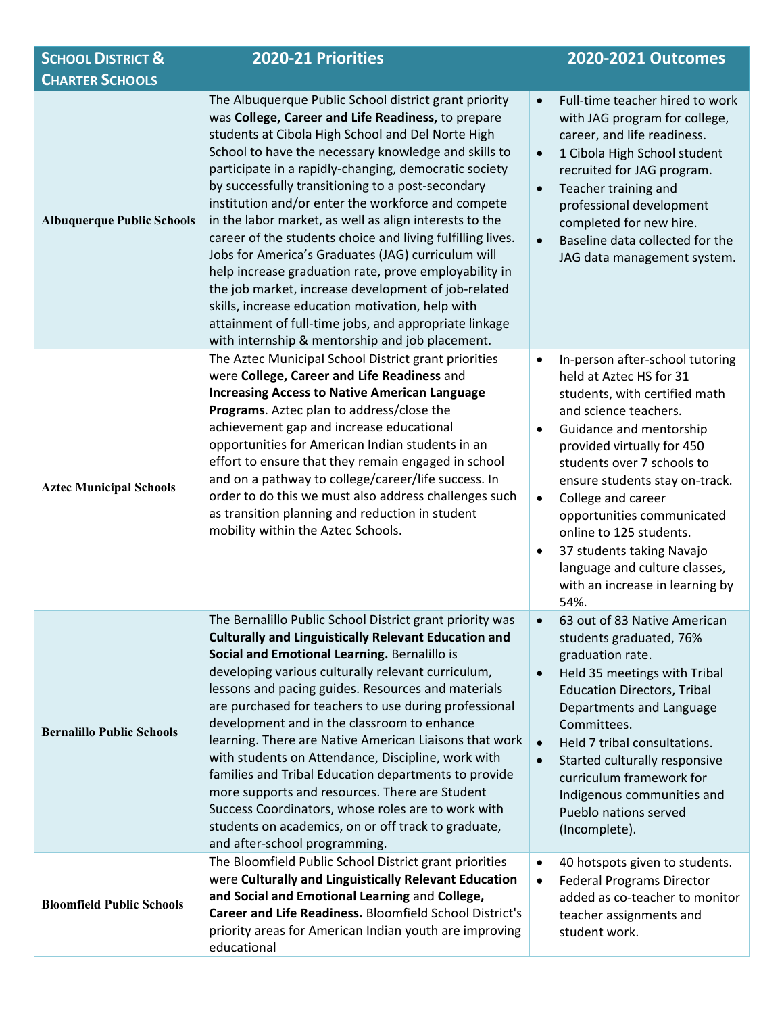| <b>SCHOOL DISTRICT &amp;</b>                                | 2020-21 Priorities                                                                                                                                                                                                                                                                                                                                                                                                                                                                                                                                                                                                                                                                                                                                                                                                                                         |                                                                                                                                                                                                                                                                                                                                                                                                                                                              |  |  |
|-------------------------------------------------------------|------------------------------------------------------------------------------------------------------------------------------------------------------------------------------------------------------------------------------------------------------------------------------------------------------------------------------------------------------------------------------------------------------------------------------------------------------------------------------------------------------------------------------------------------------------------------------------------------------------------------------------------------------------------------------------------------------------------------------------------------------------------------------------------------------------------------------------------------------------|--------------------------------------------------------------------------------------------------------------------------------------------------------------------------------------------------------------------------------------------------------------------------------------------------------------------------------------------------------------------------------------------------------------------------------------------------------------|--|--|
| <b>CHARTER SCHOOLS</b><br><b>Albuquerque Public Schools</b> | The Albuquerque Public School district grant priority<br>was College, Career and Life Readiness, to prepare<br>students at Cibola High School and Del Norte High<br>School to have the necessary knowledge and skills to<br>participate in a rapidly-changing, democratic society<br>by successfully transitioning to a post-secondary<br>institution and/or enter the workforce and compete<br>in the labor market, as well as align interests to the<br>career of the students choice and living fulfilling lives.<br>Jobs for America's Graduates (JAG) curriculum will<br>help increase graduation rate, prove employability in<br>the job market, increase development of job-related<br>skills, increase education motivation, help with<br>attainment of full-time jobs, and appropriate linkage<br>with internship & mentorship and job placement. | Full-time teacher hired to work<br>$\bullet$<br>with JAG program for college,<br>career, and life readiness.<br>1 Cibola High School student<br>$\bullet$<br>recruited for JAG program.<br>Teacher training and<br>$\bullet$<br>professional development<br>completed for new hire.<br>Baseline data collected for the<br>$\bullet$<br>JAG data management system.                                                                                           |  |  |
| <b>Aztec Municipal Schools</b>                              | The Aztec Municipal School District grant priorities<br>were College, Career and Life Readiness and<br><b>Increasing Access to Native American Language</b><br>Programs. Aztec plan to address/close the<br>achievement gap and increase educational<br>opportunities for American Indian students in an<br>effort to ensure that they remain engaged in school<br>and on a pathway to college/career/life success. In<br>order to do this we must also address challenges such<br>as transition planning and reduction in student<br>mobility within the Aztec Schools.                                                                                                                                                                                                                                                                                   | In-person after-school tutoring<br>٠<br>held at Aztec HS for 31<br>students, with certified math<br>and science teachers.<br>Guidance and mentorship<br>provided virtually for 450<br>students over 7 schools to<br>ensure students stay on-track.<br>College and career<br>$\bullet$<br>opportunities communicated<br>online to 125 students.<br>37 students taking Navajo<br>٠<br>language and culture classes,<br>with an increase in learning by<br>54%. |  |  |
| <b>Bernalillo Public Schools</b>                            | The Bernalillo Public School District grant priority was<br><b>Culturally and Linguistically Relevant Education and</b><br>Social and Emotional Learning. Bernalillo is<br>developing various culturally relevant curriculum,<br>lessons and pacing guides. Resources and materials<br>are purchased for teachers to use during professional<br>development and in the classroom to enhance<br>learning. There are Native American Liaisons that work<br>with students on Attendance, Discipline, work with<br>families and Tribal Education departments to provide<br>more supports and resources. There are Student<br>Success Coordinators, whose roles are to work with<br>students on academics, on or off track to graduate,<br>and after-school programming.                                                                                        | 63 out of 83 Native American<br>students graduated, 76%<br>graduation rate.<br>Held 35 meetings with Tribal<br><b>Education Directors, Tribal</b><br>Departments and Language<br>Committees.<br>Held 7 tribal consultations.<br>$\bullet$<br>Started culturally responsive<br>$\bullet$<br>curriculum framework for<br>Indigenous communities and<br>Pueblo nations served<br>(Incomplete).                                                                  |  |  |
| <b>Bloomfield Public Schools</b>                            | The Bloomfield Public School District grant priorities<br>were Culturally and Linguistically Relevant Education<br>and Social and Emotional Learning and College,<br>Career and Life Readiness. Bloomfield School District's<br>priority areas for American Indian youth are improving<br>educational                                                                                                                                                                                                                                                                                                                                                                                                                                                                                                                                                      | 40 hotspots given to students.<br>$\bullet$<br><b>Federal Programs Director</b><br>$\bullet$<br>added as co-teacher to monitor<br>teacher assignments and<br>student work.                                                                                                                                                                                                                                                                                   |  |  |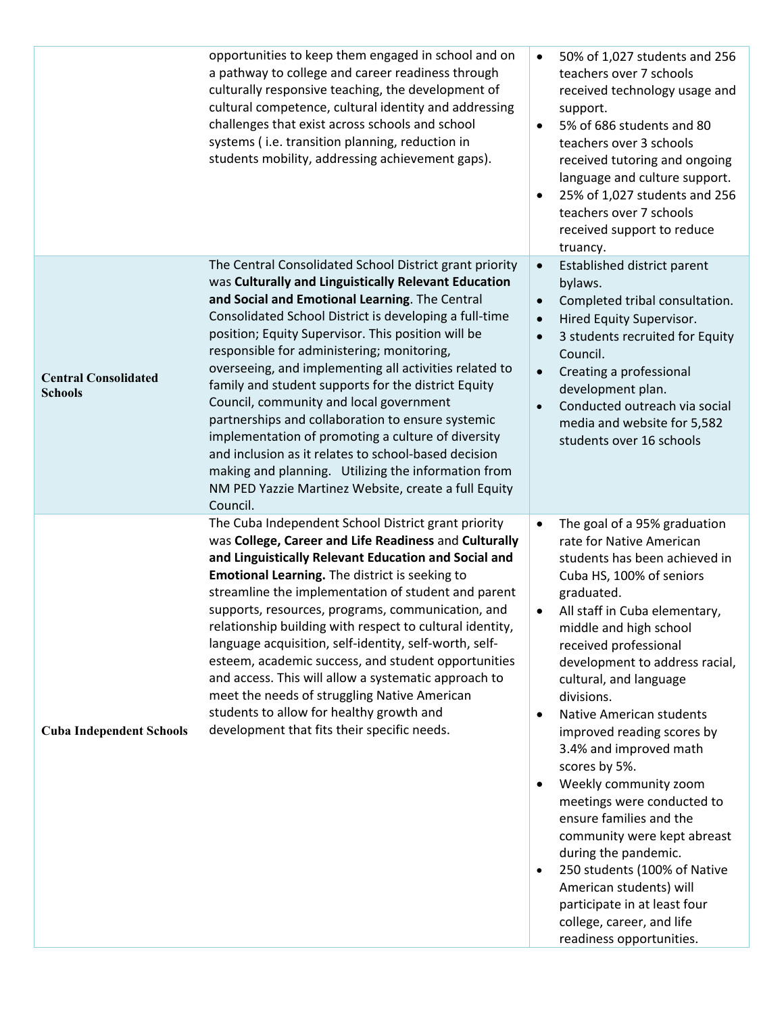|                                               | opportunities to keep them engaged in school and on<br>a pathway to college and career readiness through<br>culturally responsive teaching, the development of<br>cultural competence, cultural identity and addressing<br>challenges that exist across schools and school<br>systems (i.e. transition planning, reduction in<br>students mobility, addressing achievement gaps).                                                                                                                                                                                                                                                                                                                                                                                                         | 50% of 1,027 students and 256<br>$\bullet$<br>teachers over 7 schools<br>received technology usage and<br>support.<br>5% of 686 students and 80<br>$\bullet$<br>teachers over 3 schools<br>received tutoring and ongoing<br>language and culture support.<br>25% of 1,027 students and 256<br>$\bullet$<br>teachers over 7 schools<br>received support to reduce<br>truancy.                                                                                                                                                                                                                                                                                                                                                                                                |
|-----------------------------------------------|-------------------------------------------------------------------------------------------------------------------------------------------------------------------------------------------------------------------------------------------------------------------------------------------------------------------------------------------------------------------------------------------------------------------------------------------------------------------------------------------------------------------------------------------------------------------------------------------------------------------------------------------------------------------------------------------------------------------------------------------------------------------------------------------|-----------------------------------------------------------------------------------------------------------------------------------------------------------------------------------------------------------------------------------------------------------------------------------------------------------------------------------------------------------------------------------------------------------------------------------------------------------------------------------------------------------------------------------------------------------------------------------------------------------------------------------------------------------------------------------------------------------------------------------------------------------------------------|
| <b>Central Consolidated</b><br><b>Schools</b> | The Central Consolidated School District grant priority<br>was Culturally and Linguistically Relevant Education<br>and Social and Emotional Learning. The Central<br>Consolidated School District is developing a full-time<br>position; Equity Supervisor. This position will be<br>responsible for administering; monitoring,<br>overseeing, and implementing all activities related to<br>family and student supports for the district Equity<br>Council, community and local government<br>partnerships and collaboration to ensure systemic<br>implementation of promoting a culture of diversity<br>and inclusion as it relates to school-based decision<br>making and planning. Utilizing the information from<br>NM PED Yazzie Martinez Website, create a full Equity<br>Council. | Established district parent<br>$\bullet$<br>bylaws.<br>Completed tribal consultation.<br>$\bullet$<br>Hired Equity Supervisor.<br>$\bullet$<br>3 students recruited for Equity<br>$\bullet$<br>Council.<br>Creating a professional<br>$\bullet$<br>development plan.<br>Conducted outreach via social<br>$\bullet$<br>media and website for 5,582<br>students over 16 schools                                                                                                                                                                                                                                                                                                                                                                                               |
| <b>Cuba Independent Schools</b>               | The Cuba Independent School District grant priority<br>was College, Career and Life Readiness and Culturally<br>and Linguistically Relevant Education and Social and<br>Emotional Learning. The district is seeking to<br>streamline the implementation of student and parent<br>supports, resources, programs, communication, and<br>relationship building with respect to cultural identity,<br>language acquisition, self-identity, self-worth, self-<br>esteem, academic success, and student opportunities<br>and access. This will allow a systematic approach to<br>meet the needs of struggling Native American<br>students to allow for healthy growth and<br>development that fits their specific needs.                                                                        | The goal of a 95% graduation<br>$\bullet$<br>rate for Native American<br>students has been achieved in<br>Cuba HS, 100% of seniors<br>graduated.<br>All staff in Cuba elementary,<br>$\bullet$<br>middle and high school<br>received professional<br>development to address racial,<br>cultural, and language<br>divisions.<br><b>Native American students</b><br>$\bullet$<br>improved reading scores by<br>3.4% and improved math<br>scores by 5%.<br>Weekly community zoom<br>$\bullet$<br>meetings were conducted to<br>ensure families and the<br>community were kept abreast<br>during the pandemic.<br>250 students (100% of Native<br>$\bullet$<br>American students) will<br>participate in at least four<br>college, career, and life<br>readiness opportunities. |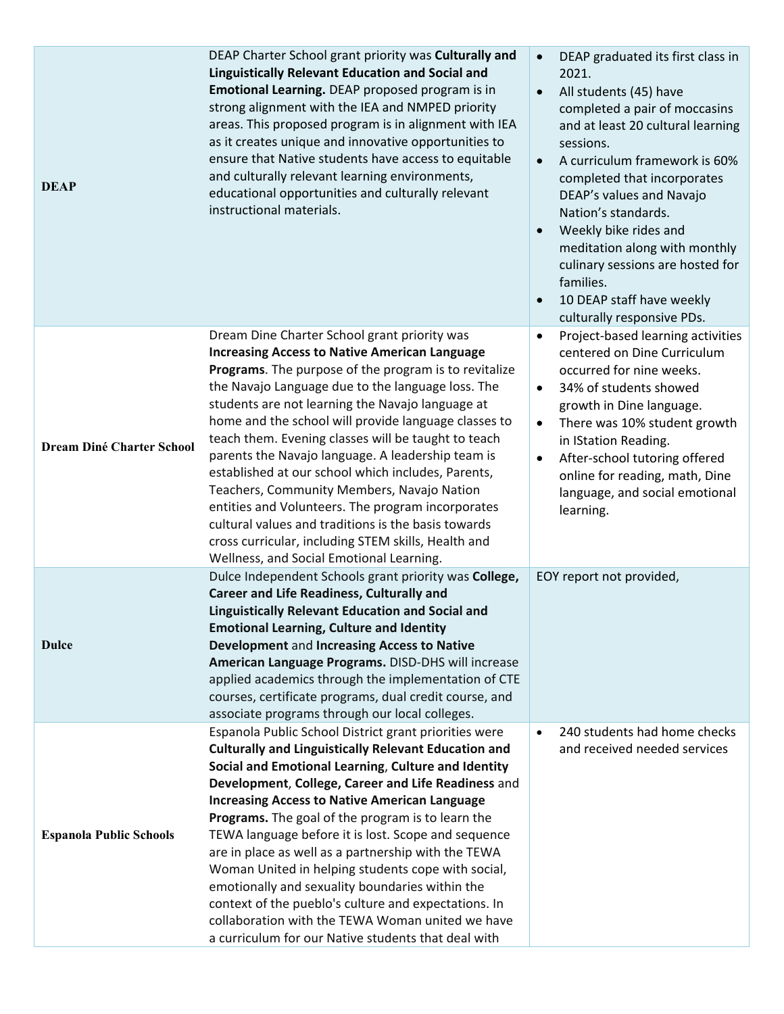| <b>DEAP</b>                      | DEAP Charter School grant priority was Culturally and<br><b>Linguistically Relevant Education and Social and</b><br>Emotional Learning. DEAP proposed program is in<br>strong alignment with the IEA and NMPED priority<br>areas. This proposed program is in alignment with IEA<br>as it creates unique and innovative opportunities to<br>ensure that Native students have access to equitable<br>and culturally relevant learning environments,<br>educational opportunities and culturally relevant<br>instructional materials.                                                                                                                                                                                                                           | DEAP graduated its first class in<br>$\bullet$<br>2021.<br>All students (45) have<br>$\bullet$<br>completed a pair of moccasins<br>and at least 20 cultural learning<br>sessions.<br>A curriculum framework is 60%<br>$\bullet$<br>completed that incorporates<br>DEAP's values and Navajo<br>Nation's standards.<br>Weekly bike rides and<br>meditation along with monthly<br>culinary sessions are hosted for<br>families.<br>10 DEAP staff have weekly<br>culturally responsive PDs. |
|----------------------------------|---------------------------------------------------------------------------------------------------------------------------------------------------------------------------------------------------------------------------------------------------------------------------------------------------------------------------------------------------------------------------------------------------------------------------------------------------------------------------------------------------------------------------------------------------------------------------------------------------------------------------------------------------------------------------------------------------------------------------------------------------------------|-----------------------------------------------------------------------------------------------------------------------------------------------------------------------------------------------------------------------------------------------------------------------------------------------------------------------------------------------------------------------------------------------------------------------------------------------------------------------------------------|
| <b>Dream Diné Charter School</b> | Dream Dine Charter School grant priority was<br><b>Increasing Access to Native American Language</b><br>Programs. The purpose of the program is to revitalize<br>the Navajo Language due to the language loss. The<br>students are not learning the Navajo language at<br>home and the school will provide language classes to<br>teach them. Evening classes will be taught to teach<br>parents the Navajo language. A leadership team is<br>established at our school which includes, Parents,<br>Teachers, Community Members, Navajo Nation<br>entities and Volunteers. The program incorporates<br>cultural values and traditions is the basis towards<br>cross curricular, including STEM skills, Health and<br>Wellness, and Social Emotional Learning. | Project-based learning activities<br>$\bullet$<br>centered on Dine Curriculum<br>occurred for nine weeks.<br>34% of students showed<br>$\bullet$<br>growth in Dine language.<br>There was 10% student growth<br>$\bullet$<br>in IStation Reading.<br>After-school tutoring offered<br>$\bullet$<br>online for reading, math, Dine<br>language, and social emotional<br>learning.                                                                                                        |
| <b>Dulce</b>                     | Dulce Independent Schools grant priority was College,<br><b>Career and Life Readiness, Culturally and</b><br><b>Linguistically Relevant Education and Social and</b><br><b>Emotional Learning, Culture and Identity</b><br>Development and Increasing Access to Native<br>American Language Programs. DISD-DHS will increase<br>applied academics through the implementation of CTE<br>courses, certificate programs, dual credit course, and<br>associate programs through our local colleges.                                                                                                                                                                                                                                                               | EOY report not provided,                                                                                                                                                                                                                                                                                                                                                                                                                                                                |
| <b>Espanola Public Schools</b>   | Espanola Public School District grant priorities were<br><b>Culturally and Linguistically Relevant Education and</b><br>Social and Emotional Learning, Culture and Identity<br>Development, College, Career and Life Readiness and<br><b>Increasing Access to Native American Language</b><br><b>Programs.</b> The goal of the program is to learn the<br>TEWA language before it is lost. Scope and sequence<br>are in place as well as a partnership with the TEWA<br>Woman United in helping students cope with social,<br>emotionally and sexuality boundaries within the<br>context of the pueblo's culture and expectations. In<br>collaboration with the TEWA Woman united we have<br>a curriculum for our Native students that deal with              | 240 students had home checks<br>$\bullet$<br>and received needed services                                                                                                                                                                                                                                                                                                                                                                                                               |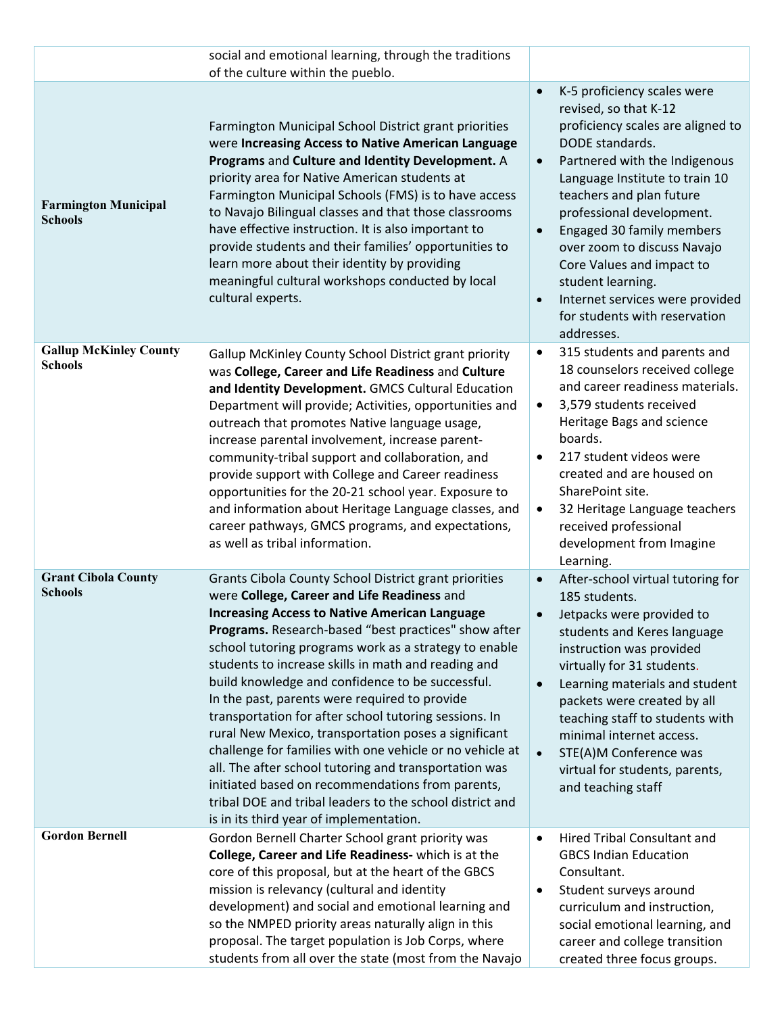|                                                 | social and emotional learning, through the traditions<br>of the culture within the pueblo.                                                                                                                                                                                                                                                                                                                                                                                                                                                                                                                                                                                                                                                                                                                                                 |                                                                                                                                                                                                                                                                                                                                                                                                                                                                                              |
|-------------------------------------------------|--------------------------------------------------------------------------------------------------------------------------------------------------------------------------------------------------------------------------------------------------------------------------------------------------------------------------------------------------------------------------------------------------------------------------------------------------------------------------------------------------------------------------------------------------------------------------------------------------------------------------------------------------------------------------------------------------------------------------------------------------------------------------------------------------------------------------------------------|----------------------------------------------------------------------------------------------------------------------------------------------------------------------------------------------------------------------------------------------------------------------------------------------------------------------------------------------------------------------------------------------------------------------------------------------------------------------------------------------|
| <b>Farmington Municipal</b><br><b>Schools</b>   | Farmington Municipal School District grant priorities<br>were Increasing Access to Native American Language<br>Programs and Culture and Identity Development. A<br>priority area for Native American students at<br>Farmington Municipal Schools (FMS) is to have access<br>to Navajo Bilingual classes and that those classrooms<br>have effective instruction. It is also important to<br>provide students and their families' opportunities to<br>learn more about their identity by providing<br>meaningful cultural workshops conducted by local<br>cultural experts.                                                                                                                                                                                                                                                                 | K-5 proficiency scales were<br>$\bullet$<br>revised, so that K-12<br>proficiency scales are aligned to<br>DODE standards.<br>Partnered with the Indigenous<br>$\bullet$<br>Language Institute to train 10<br>teachers and plan future<br>professional development.<br>Engaged 30 family members<br>$\bullet$<br>over zoom to discuss Navajo<br>Core Values and impact to<br>student learning.<br>Internet services were provided<br>$\bullet$<br>for students with reservation<br>addresses. |
| <b>Gallup McKinley County</b><br><b>Schools</b> | Gallup McKinley County School District grant priority<br>was College, Career and Life Readiness and Culture<br>and Identity Development. GMCS Cultural Education<br>Department will provide; Activities, opportunities and<br>outreach that promotes Native language usage,<br>increase parental involvement, increase parent-<br>community-tribal support and collaboration, and<br>provide support with College and Career readiness<br>opportunities for the 20-21 school year. Exposure to<br>and information about Heritage Language classes, and<br>career pathways, GMCS programs, and expectations,<br>as well as tribal information.                                                                                                                                                                                              | 315 students and parents and<br>$\bullet$<br>18 counselors received college<br>and career readiness materials.<br>3,579 students received<br>$\bullet$<br>Heritage Bags and science<br>boards.<br>217 student videos were<br>created and are housed on<br>SharePoint site.<br>32 Heritage Language teachers<br>$\bullet$<br>received professional<br>development from Imagine<br>Learning.                                                                                                   |
| <b>Grant Cibola County</b><br><b>Schools</b>    | Grants Cibola County School District grant priorities<br>were College, Career and Life Readiness and<br><b>Increasing Access to Native American Language</b><br>Programs. Research-based "best practices" show after<br>school tutoring programs work as a strategy to enable<br>students to increase skills in math and reading and<br>build knowledge and confidence to be successful.<br>In the past, parents were required to provide<br>transportation for after school tutoring sessions. In<br>rural New Mexico, transportation poses a significant<br>challenge for families with one vehicle or no vehicle at<br>all. The after school tutoring and transportation was<br>initiated based on recommendations from parents,<br>tribal DOE and tribal leaders to the school district and<br>is in its third year of implementation. | After-school virtual tutoring for<br>$\bullet$<br>185 students.<br>Jetpacks were provided to<br>$\bullet$<br>students and Keres language<br>instruction was provided<br>virtually for 31 students.<br>Learning materials and student<br>$\bullet$<br>packets were created by all<br>teaching staff to students with<br>minimal internet access.<br>STE(A)M Conference was<br>$\bullet$<br>virtual for students, parents,<br>and teaching staff                                               |
| <b>Gordon Bernell</b>                           | Gordon Bernell Charter School grant priority was<br>College, Career and Life Readiness- which is at the<br>core of this proposal, but at the heart of the GBCS<br>mission is relevancy (cultural and identity<br>development) and social and emotional learning and<br>so the NMPED priority areas naturally align in this<br>proposal. The target population is Job Corps, where<br>students from all over the state (most from the Navajo                                                                                                                                                                                                                                                                                                                                                                                                | <b>Hired Tribal Consultant and</b><br>$\bullet$<br><b>GBCS Indian Education</b><br>Consultant.<br>Student surveys around<br>$\bullet$<br>curriculum and instruction,<br>social emotional learning, and<br>career and college transition<br>created three focus groups.                                                                                                                                                                                                                       |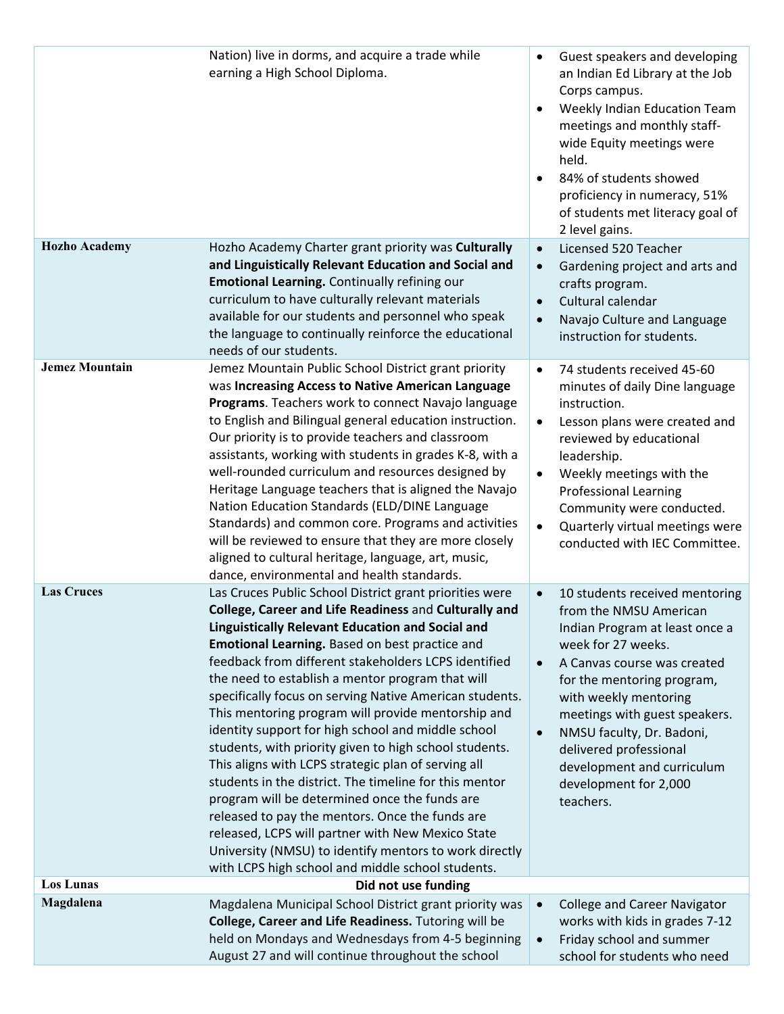| <b>Hozho Academy</b>  | Nation) live in dorms, and acquire a trade while<br>earning a High School Diploma.                                                                                                                                                                                                                                                                                                                                                                                                                                                                                                                                                                                                                                                                                                                                                                                                                                                                                  | Guest speakers and developing<br>$\bullet$<br>an Indian Ed Library at the Job<br>Corps campus.<br>Weekly Indian Education Team<br>meetings and monthly staff-<br>wide Equity meetings were<br>held.<br>84% of students showed<br>proficiency in numeracy, 51%<br>of students met literacy goal of<br>2 level gains.<br>Licensed 520 Teacher                                                  |
|-----------------------|---------------------------------------------------------------------------------------------------------------------------------------------------------------------------------------------------------------------------------------------------------------------------------------------------------------------------------------------------------------------------------------------------------------------------------------------------------------------------------------------------------------------------------------------------------------------------------------------------------------------------------------------------------------------------------------------------------------------------------------------------------------------------------------------------------------------------------------------------------------------------------------------------------------------------------------------------------------------|----------------------------------------------------------------------------------------------------------------------------------------------------------------------------------------------------------------------------------------------------------------------------------------------------------------------------------------------------------------------------------------------|
|                       | Hozho Academy Charter grant priority was Culturally<br>and Linguistically Relevant Education and Social and<br>Emotional Learning. Continually refining our<br>curriculum to have culturally relevant materials<br>available for our students and personnel who speak<br>the language to continually reinforce the educational<br>needs of our students.                                                                                                                                                                                                                                                                                                                                                                                                                                                                                                                                                                                                            | $\bullet$<br>Gardening project and arts and<br>$\bullet$<br>crafts program.<br>Cultural calendar<br>$\bullet$<br>Navajo Culture and Language<br>$\bullet$<br>instruction for students.                                                                                                                                                                                                       |
| <b>Jemez Mountain</b> | Jemez Mountain Public School District grant priority<br>was Increasing Access to Native American Language<br>Programs. Teachers work to connect Navajo language<br>to English and Bilingual general education instruction.<br>Our priority is to provide teachers and classroom<br>assistants, working with students in grades K-8, with a<br>well-rounded curriculum and resources designed by<br>Heritage Language teachers that is aligned the Navajo<br>Nation Education Standards (ELD/DINE Language<br>Standards) and common core. Programs and activities<br>will be reviewed to ensure that they are more closely<br>aligned to cultural heritage, language, art, music,<br>dance, environmental and health standards.                                                                                                                                                                                                                                      | 74 students received 45-60<br>$\bullet$<br>minutes of daily Dine language<br>instruction.<br>Lesson plans were created and<br>$\bullet$<br>reviewed by educational<br>leadership.<br>Weekly meetings with the<br><b>Professional Learning</b><br>Community were conducted.<br>Quarterly virtual meetings were<br>$\bullet$<br>conducted with IEC Committee.                                  |
| <b>Las Cruces</b>     | Las Cruces Public School District grant priorities were<br>College, Career and Life Readiness and Culturally and<br><b>Linguistically Relevant Education and Social and</b><br>Emotional Learning. Based on best practice and<br>feedback from different stakeholders LCPS identified<br>the need to establish a mentor program that will<br>specifically focus on serving Native American students.<br>This mentoring program will provide mentorship and<br>identity support for high school and middle school<br>students, with priority given to high school students.<br>This aligns with LCPS strategic plan of serving all<br>students in the district. The timeline for this mentor<br>program will be determined once the funds are<br>released to pay the mentors. Once the funds are<br>released, LCPS will partner with New Mexico State<br>University (NMSU) to identify mentors to work directly<br>with LCPS high school and middle school students. | 10 students received mentoring<br>from the NMSU American<br>Indian Program at least once a<br>week for 27 weeks.<br>A Canvas course was created<br>$\bullet$<br>for the mentoring program,<br>with weekly mentoring<br>meetings with guest speakers.<br>NMSU faculty, Dr. Badoni,<br>$\bullet$<br>delivered professional<br>development and curriculum<br>development for 2,000<br>teachers. |
| <b>Los Lunas</b>      | Did not use funding                                                                                                                                                                                                                                                                                                                                                                                                                                                                                                                                                                                                                                                                                                                                                                                                                                                                                                                                                 |                                                                                                                                                                                                                                                                                                                                                                                              |
| Magdalena             | Magdalena Municipal School District grant priority was<br>College, Career and Life Readiness. Tutoring will be<br>held on Mondays and Wednesdays from 4-5 beginning<br>August 27 and will continue throughout the school                                                                                                                                                                                                                                                                                                                                                                                                                                                                                                                                                                                                                                                                                                                                            | <b>College and Career Navigator</b><br>works with kids in grades 7-12<br>Friday school and summer<br>school for students who need                                                                                                                                                                                                                                                            |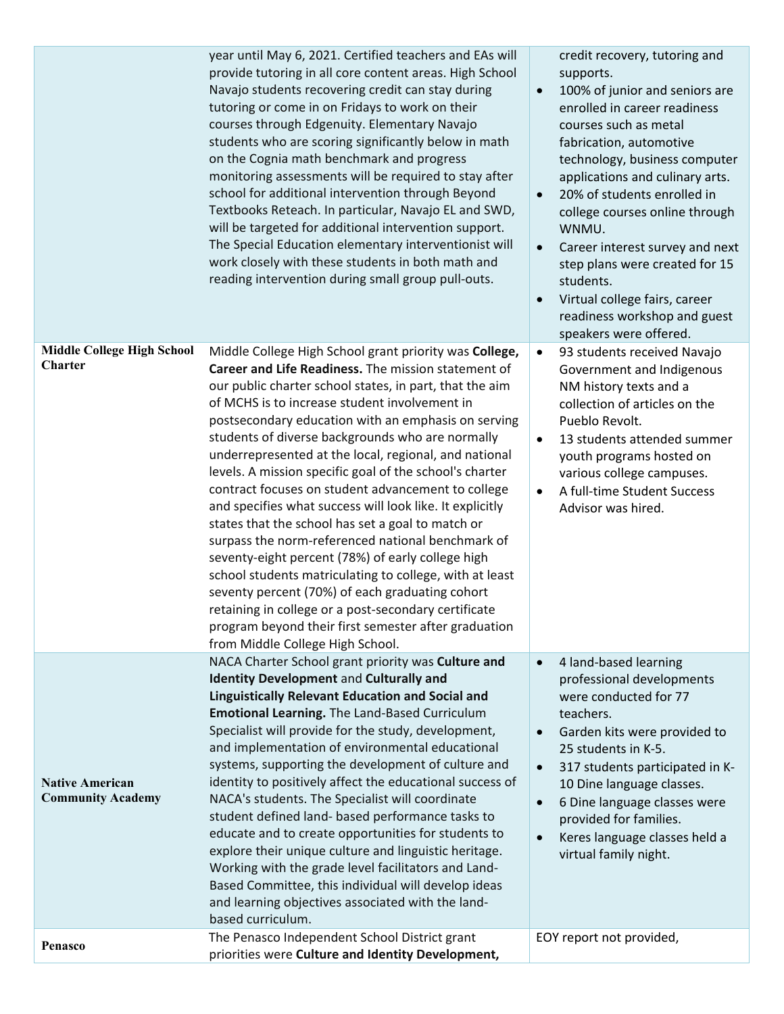|                                                     | year until May 6, 2021. Certified teachers and EAs will<br>provide tutoring in all core content areas. High School<br>Navajo students recovering credit can stay during<br>tutoring or come in on Fridays to work on their<br>courses through Edgenuity. Elementary Navajo<br>students who are scoring significantly below in math<br>on the Cognia math benchmark and progress<br>monitoring assessments will be required to stay after<br>school for additional intervention through Beyond<br>Textbooks Reteach. In particular, Navajo EL and SWD,<br>will be targeted for additional intervention support.<br>The Special Education elementary interventionist will<br>work closely with these students in both math and<br>reading intervention during small group pull-outs.                                                                                                                                                                                                                          | credit recovery, tutoring and<br>supports.<br>100% of junior and seniors are<br>$\bullet$<br>enrolled in career readiness<br>courses such as metal<br>fabrication, automotive<br>technology, business computer<br>applications and culinary arts.<br>20% of students enrolled in<br>$\bullet$<br>college courses online through<br>WNMU.<br>Career interest survey and next<br>$\bullet$<br>step plans were created for 15<br>students.<br>Virtual college fairs, career<br>$\bullet$<br>readiness workshop and guest<br>speakers were offered. |
|-----------------------------------------------------|-------------------------------------------------------------------------------------------------------------------------------------------------------------------------------------------------------------------------------------------------------------------------------------------------------------------------------------------------------------------------------------------------------------------------------------------------------------------------------------------------------------------------------------------------------------------------------------------------------------------------------------------------------------------------------------------------------------------------------------------------------------------------------------------------------------------------------------------------------------------------------------------------------------------------------------------------------------------------------------------------------------|-------------------------------------------------------------------------------------------------------------------------------------------------------------------------------------------------------------------------------------------------------------------------------------------------------------------------------------------------------------------------------------------------------------------------------------------------------------------------------------------------------------------------------------------------|
| <b>Middle College High School</b><br><b>Charter</b> | Middle College High School grant priority was College,<br>Career and Life Readiness. The mission statement of<br>our public charter school states, in part, that the aim<br>of MCHS is to increase student involvement in<br>postsecondary education with an emphasis on serving<br>students of diverse backgrounds who are normally<br>underrepresented at the local, regional, and national<br>levels. A mission specific goal of the school's charter<br>contract focuses on student advancement to college<br>and specifies what success will look like. It explicitly<br>states that the school has set a goal to match or<br>surpass the norm-referenced national benchmark of<br>seventy-eight percent (78%) of early college high<br>school students matriculating to college, with at least<br>seventy percent (70%) of each graduating cohort<br>retaining in college or a post-secondary certificate<br>program beyond their first semester after graduation<br>from Middle College High School. | 93 students received Navajo<br>$\bullet$<br>Government and Indigenous<br>NM history texts and a<br>collection of articles on the<br>Pueblo Revolt.<br>13 students attended summer<br>$\bullet$<br>youth programs hosted on<br>various college campuses.<br>A full-time Student Success<br>$\bullet$<br>Advisor was hired.                                                                                                                                                                                                                       |
| <b>Native American</b><br><b>Community Academy</b>  | NACA Charter School grant priority was Culture and<br><b>Identity Development and Culturally and</b><br><b>Linguistically Relevant Education and Social and</b><br>Emotional Learning. The Land-Based Curriculum<br>Specialist will provide for the study, development,<br>and implementation of environmental educational<br>systems, supporting the development of culture and<br>identity to positively affect the educational success of<br>NACA's students. The Specialist will coordinate<br>student defined land- based performance tasks to<br>educate and to create opportunities for students to<br>explore their unique culture and linguistic heritage.<br>Working with the grade level facilitators and Land-<br>Based Committee, this individual will develop ideas<br>and learning objectives associated with the land-<br>based curriculum.                                                                                                                                                 | 4 land-based learning<br>$\bullet$<br>professional developments<br>were conducted for 77<br>teachers.<br>Garden kits were provided to<br>$\bullet$<br>25 students in K-5.<br>317 students participated in K-<br>$\bullet$<br>10 Dine language classes.<br>6 Dine language classes were<br>$\bullet$<br>provided for families.<br>Keres language classes held a<br>$\bullet$<br>virtual family night.                                                                                                                                            |
| Penasco                                             | The Penasco Independent School District grant<br>priorities were Culture and Identity Development,                                                                                                                                                                                                                                                                                                                                                                                                                                                                                                                                                                                                                                                                                                                                                                                                                                                                                                          | EOY report not provided,                                                                                                                                                                                                                                                                                                                                                                                                                                                                                                                        |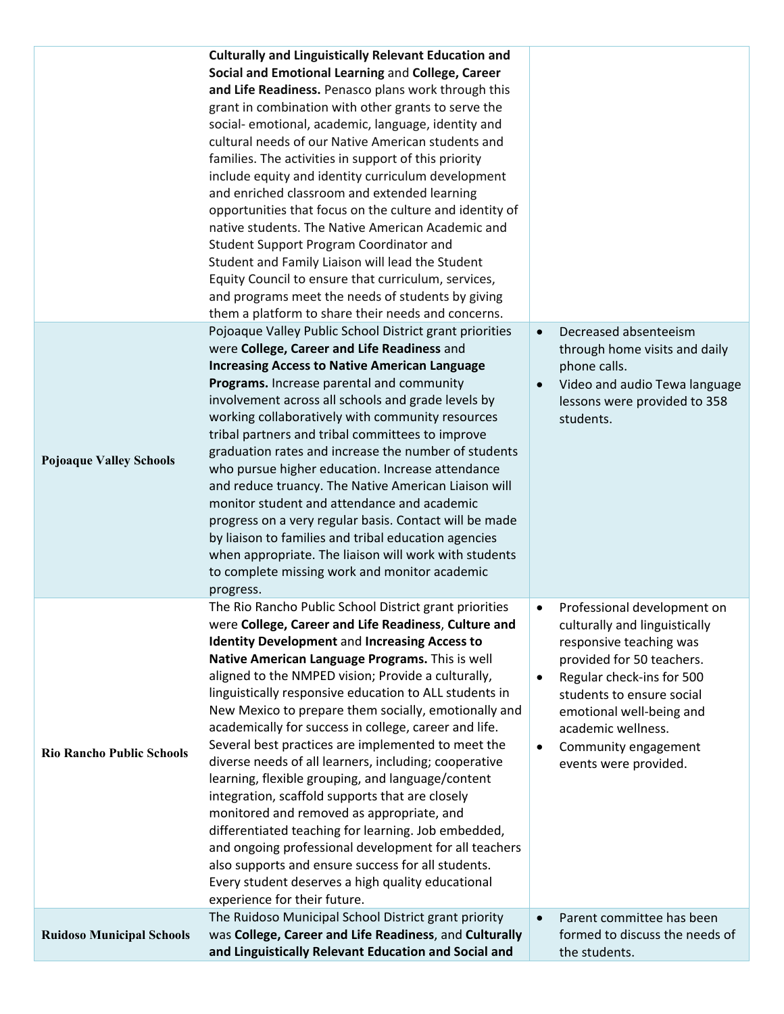|                                  | <b>Culturally and Linguistically Relevant Education and</b><br>Social and Emotional Learning and College, Career<br>and Life Readiness. Penasco plans work through this<br>grant in combination with other grants to serve the<br>social- emotional, academic, language, identity and<br>cultural needs of our Native American students and<br>families. The activities in support of this priority<br>include equity and identity curriculum development<br>and enriched classroom and extended learning<br>opportunities that focus on the culture and identity of<br>native students. The Native American Academic and<br>Student Support Program Coordinator and<br>Student and Family Liaison will lead the Student<br>Equity Council to ensure that curriculum, services,<br>and programs meet the needs of students by giving<br>them a platform to share their needs and concerns.                                                                                                |                                                                                                                                                                                                                                                                                                                  |
|----------------------------------|-------------------------------------------------------------------------------------------------------------------------------------------------------------------------------------------------------------------------------------------------------------------------------------------------------------------------------------------------------------------------------------------------------------------------------------------------------------------------------------------------------------------------------------------------------------------------------------------------------------------------------------------------------------------------------------------------------------------------------------------------------------------------------------------------------------------------------------------------------------------------------------------------------------------------------------------------------------------------------------------|------------------------------------------------------------------------------------------------------------------------------------------------------------------------------------------------------------------------------------------------------------------------------------------------------------------|
| <b>Pojoaque Valley Schools</b>   | Pojoaque Valley Public School District grant priorities<br>were College, Career and Life Readiness and<br><b>Increasing Access to Native American Language</b><br>Programs. Increase parental and community<br>involvement across all schools and grade levels by<br>working collaboratively with community resources<br>tribal partners and tribal committees to improve<br>graduation rates and increase the number of students<br>who pursue higher education. Increase attendance<br>and reduce truancy. The Native American Liaison will<br>monitor student and attendance and academic<br>progress on a very regular basis. Contact will be made<br>by liaison to families and tribal education agencies<br>when appropriate. The liaison will work with students<br>to complete missing work and monitor academic<br>progress.                                                                                                                                                     | Decreased absenteeism<br>$\bullet$<br>through home visits and daily<br>phone calls.<br>Video and audio Tewa language<br>lessons were provided to 358<br>students.                                                                                                                                                |
| <b>Rio Rancho Public Schools</b> | The Rio Rancho Public School District grant priorities<br>were College, Career and Life Readiness, Culture and<br><b>Identity Development and Increasing Access to</b><br>Native American Language Programs. This is well<br>aligned to the NMPED vision; Provide a culturally,<br>linguistically responsive education to ALL students in<br>New Mexico to prepare them socially, emotionally and<br>academically for success in college, career and life.<br>Several best practices are implemented to meet the<br>diverse needs of all learners, including; cooperative<br>learning, flexible grouping, and language/content<br>integration, scaffold supports that are closely<br>monitored and removed as appropriate, and<br>differentiated teaching for learning. Job embedded,<br>and ongoing professional development for all teachers<br>also supports and ensure success for all students.<br>Every student deserves a high quality educational<br>experience for their future. | Professional development on<br>٠<br>culturally and linguistically<br>responsive teaching was<br>provided for 50 teachers.<br>Regular check-ins for 500<br>$\bullet$<br>students to ensure social<br>emotional well-being and<br>academic wellness.<br>Community engagement<br>$\bullet$<br>events were provided. |
| <b>Ruidoso Municipal Schools</b> | The Ruidoso Municipal School District grant priority<br>was College, Career and Life Readiness, and Culturally<br>and Linguistically Relevant Education and Social and                                                                                                                                                                                                                                                                                                                                                                                                                                                                                                                                                                                                                                                                                                                                                                                                                    | Parent committee has been<br>formed to discuss the needs of<br>the students.                                                                                                                                                                                                                                     |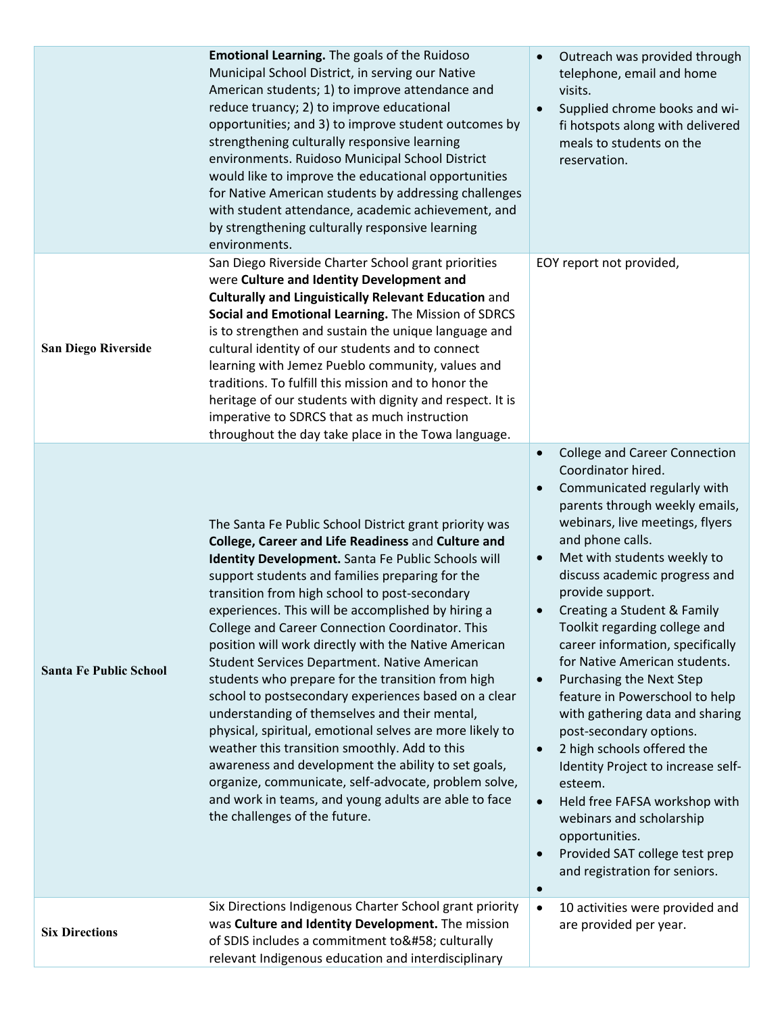|                               | <b>Emotional Learning.</b> The goals of the Ruidoso<br>Municipal School District, in serving our Native<br>American students; 1) to improve attendance and<br>reduce truancy; 2) to improve educational<br>opportunities; and 3) to improve student outcomes by<br>strengthening culturally responsive learning<br>environments. Ruidoso Municipal School District<br>would like to improve the educational opportunities<br>for Native American students by addressing challenges<br>with student attendance, academic achievement, and<br>by strengthening culturally responsive learning<br>environments.                                                                                                                                                                                                                                                                                                                                                               | Outreach was provided through<br>telephone, email and home<br>visits.<br>Supplied chrome books and wi-<br>fi hotspots along with delivered<br>meals to students on the<br>reservation.                                                                                                                                                                                                                                                                                                                                                                                                                                                                                                                                                                                                                                                                                           |
|-------------------------------|----------------------------------------------------------------------------------------------------------------------------------------------------------------------------------------------------------------------------------------------------------------------------------------------------------------------------------------------------------------------------------------------------------------------------------------------------------------------------------------------------------------------------------------------------------------------------------------------------------------------------------------------------------------------------------------------------------------------------------------------------------------------------------------------------------------------------------------------------------------------------------------------------------------------------------------------------------------------------|----------------------------------------------------------------------------------------------------------------------------------------------------------------------------------------------------------------------------------------------------------------------------------------------------------------------------------------------------------------------------------------------------------------------------------------------------------------------------------------------------------------------------------------------------------------------------------------------------------------------------------------------------------------------------------------------------------------------------------------------------------------------------------------------------------------------------------------------------------------------------------|
| <b>San Diego Riverside</b>    | San Diego Riverside Charter School grant priorities<br>were Culture and Identity Development and<br><b>Culturally and Linguistically Relevant Education and</b><br>Social and Emotional Learning. The Mission of SDRCS<br>is to strengthen and sustain the unique language and<br>cultural identity of our students and to connect<br>learning with Jemez Pueblo community, values and<br>traditions. To fulfill this mission and to honor the<br>heritage of our students with dignity and respect. It is<br>imperative to SDRCS that as much instruction<br>throughout the day take place in the Towa language.                                                                                                                                                                                                                                                                                                                                                          | EOY report not provided,                                                                                                                                                                                                                                                                                                                                                                                                                                                                                                                                                                                                                                                                                                                                                                                                                                                         |
| <b>Santa Fe Public School</b> | The Santa Fe Public School District grant priority was<br>College, Career and Life Readiness and Culture and<br>Identity Development. Santa Fe Public Schools will<br>support students and families preparing for the<br>transition from high school to post-secondary<br>experiences. This will be accomplished by hiring a<br>College and Career Connection Coordinator. This<br>position will work directly with the Native American<br>Student Services Department. Native American<br>students who prepare for the transition from high<br>school to postsecondary experiences based on a clear<br>understanding of themselves and their mental,<br>physical, spiritual, emotional selves are more likely to<br>weather this transition smoothly. Add to this<br>awareness and development the ability to set goals,<br>organize, communicate, self-advocate, problem solve,<br>and work in teams, and young adults are able to face<br>the challenges of the future. | <b>College and Career Connection</b><br>$\bullet$<br>Coordinator hired.<br>Communicated regularly with<br>$\bullet$<br>parents through weekly emails,<br>webinars, live meetings, flyers<br>and phone calls.<br>Met with students weekly to<br>$\bullet$<br>discuss academic progress and<br>provide support.<br>Creating a Student & Family<br>$\bullet$<br>Toolkit regarding college and<br>career information, specifically<br>for Native American students.<br>Purchasing the Next Step<br>$\bullet$<br>feature in Powerschool to help<br>with gathering data and sharing<br>post-secondary options.<br>2 high schools offered the<br>$\bullet$<br>Identity Project to increase self-<br>esteem.<br>Held free FAFSA workshop with<br>$\bullet$<br>webinars and scholarship<br>opportunities.<br>Provided SAT college test prep<br>and registration for seniors.<br>$\bullet$ |
| <b>Six Directions</b>         | Six Directions Indigenous Charter School grant priority<br>was Culture and Identity Development. The mission<br>of SDIS includes a commitment to: culturally<br>relevant Indigenous education and interdisciplinary                                                                                                                                                                                                                                                                                                                                                                                                                                                                                                                                                                                                                                                                                                                                                        | 10 activities were provided and<br>$\bullet$<br>are provided per year.                                                                                                                                                                                                                                                                                                                                                                                                                                                                                                                                                                                                                                                                                                                                                                                                           |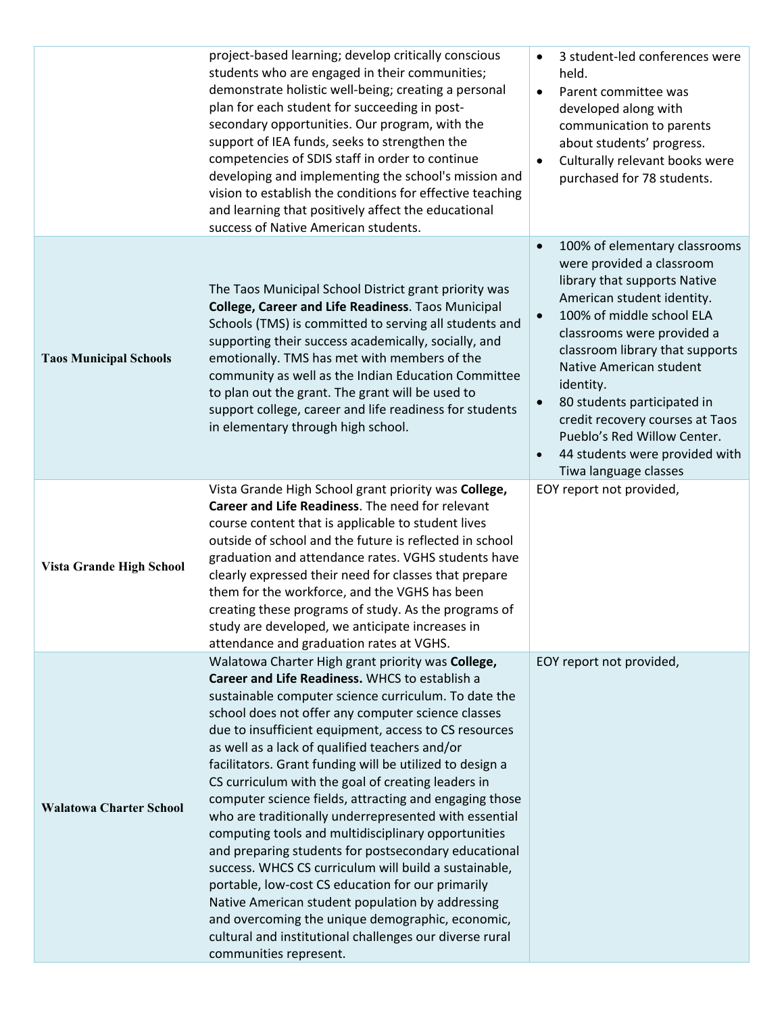|                                 | project-based learning; develop critically conscious<br>students who are engaged in their communities;<br>demonstrate holistic well-being; creating a personal<br>plan for each student for succeeding in post-<br>secondary opportunities. Our program, with the<br>support of IEA funds, seeks to strengthen the<br>competencies of SDIS staff in order to continue<br>developing and implementing the school's mission and<br>vision to establish the conditions for effective teaching<br>and learning that positively affect the educational<br>success of Native American students.                                                                                                                                                                                                                                                                                                                                                                                                   | 3 student-led conferences were<br>held.<br>Parent committee was<br>$\bullet$<br>developed along with<br>communication to parents<br>about students' progress.<br>Culturally relevant books were<br>purchased for 78 students.                                                                                                                                                                                                                                     |
|---------------------------------|---------------------------------------------------------------------------------------------------------------------------------------------------------------------------------------------------------------------------------------------------------------------------------------------------------------------------------------------------------------------------------------------------------------------------------------------------------------------------------------------------------------------------------------------------------------------------------------------------------------------------------------------------------------------------------------------------------------------------------------------------------------------------------------------------------------------------------------------------------------------------------------------------------------------------------------------------------------------------------------------|-------------------------------------------------------------------------------------------------------------------------------------------------------------------------------------------------------------------------------------------------------------------------------------------------------------------------------------------------------------------------------------------------------------------------------------------------------------------|
| <b>Taos Municipal Schools</b>   | The Taos Municipal School District grant priority was<br>College, Career and Life Readiness. Taos Municipal<br>Schools (TMS) is committed to serving all students and<br>supporting their success academically, socially, and<br>emotionally. TMS has met with members of the<br>community as well as the Indian Education Committee<br>to plan out the grant. The grant will be used to<br>support college, career and life readiness for students<br>in elementary through high school.                                                                                                                                                                                                                                                                                                                                                                                                                                                                                                   | 100% of elementary classrooms<br>$\bullet$<br>were provided a classroom<br>library that supports Native<br>American student identity.<br>100% of middle school ELA<br>$\bullet$<br>classrooms were provided a<br>classroom library that supports<br>Native American student<br>identity.<br>80 students participated in<br>$\bullet$<br>credit recovery courses at Taos<br>Pueblo's Red Willow Center.<br>44 students were provided with<br>Tiwa language classes |
| <b>Vista Grande High School</b> | Vista Grande High School grant priority was College,<br>Career and Life Readiness. The need for relevant<br>course content that is applicable to student lives<br>outside of school and the future is reflected in school<br>graduation and attendance rates. VGHS students have<br>clearly expressed their need for classes that prepare<br>them for the workforce, and the VGHS has been<br>creating these programs of study. As the programs of<br>study are developed, we anticipate increases in<br>attendance and graduation rates at VGHS.                                                                                                                                                                                                                                                                                                                                                                                                                                           | EOY report not provided,                                                                                                                                                                                                                                                                                                                                                                                                                                          |
| <b>Walatowa Charter School</b>  | Walatowa Charter High grant priority was College,<br>Career and Life Readiness. WHCS to establish a<br>sustainable computer science curriculum. To date the<br>school does not offer any computer science classes<br>due to insufficient equipment, access to CS resources<br>as well as a lack of qualified teachers and/or<br>facilitators. Grant funding will be utilized to design a<br>CS curriculum with the goal of creating leaders in<br>computer science fields, attracting and engaging those<br>who are traditionally underrepresented with essential<br>computing tools and multidisciplinary opportunities<br>and preparing students for postsecondary educational<br>success. WHCS CS curriculum will build a sustainable,<br>portable, low-cost CS education for our primarily<br>Native American student population by addressing<br>and overcoming the unique demographic, economic,<br>cultural and institutional challenges our diverse rural<br>communities represent. | EOY report not provided,                                                                                                                                                                                                                                                                                                                                                                                                                                          |